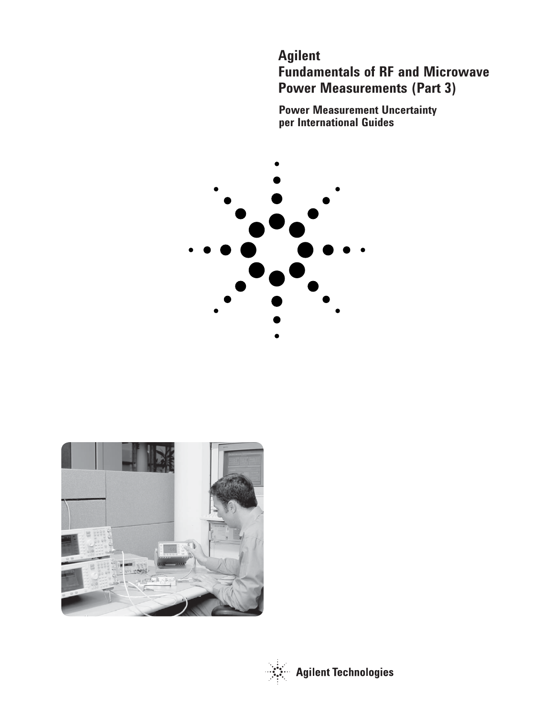# **Agilent Fundamentals of RF and Microwave Power Measurements (Part 3)**

**Power Measurement Uncertainty per International Guides**





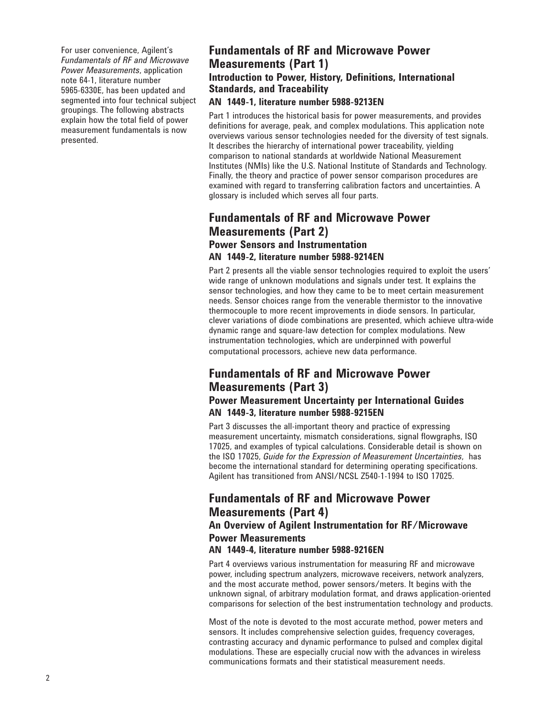For user convenience, Agilent's *Fundamentals of RF and Microwave Power Measurements*, application note 64-1, literature number 5965-6330E, has been updated and segmented into four technical subject groupings. The following abstracts explain how the total field of power measurement fundamentals is now presented.

## **Fundamentals of RF and Microwave Power Measurements (Part 1) Introduction to Power, History, Definitions, International Standards, and Traceability AN 1449-1, literature number 5988-9213EN**

Part 1 introduces the historical basis for power measurements, and provides definitions for average, peak, and complex modulations. This application note overviews various sensor technologies needed for the diversity of test signals. It describes the hierarchy of international power traceability, yielding comparison to national standards at worldwide National Measurement Institutes (NMIs) like the U.S. National Institute of Standards and Technology. Finally, the theory and practice of power sensor comparison procedures are examined with regard to transferring calibration factors and uncertainties. A glossary is included which serves all four parts.

## **Fundamentals of RF and Microwave Power Measurements (Part 2) Power Sensors and Instrumentation**

## **AN 1449-2, literature number 5988-9214EN**

Part 2 presents all the viable sensor technologies required to exploit the users' wide range of unknown modulations and signals under test. It explains the sensor technologies, and how they came to be to meet certain measurement needs. Sensor choices range from the venerable thermistor to the innovative thermocouple to more recent improvements in diode sensors. In particular, clever variations of diode combinations are presented, which achieve ultra-wide dynamic range and square-law detection for complex modulations. New instrumentation technologies, which are underpinned with powerful computational processors, achieve new data performance.

## **Fundamentals of RF and Microwave Power Measurements (Part 3)**

## **Power Measurement Uncertainty per International Guides AN 1449-3, literature number 5988-9215EN**

Part 3 discusses the all-important theory and practice of expressing measurement uncertainty, mismatch considerations, signal flowgraphs, ISO 17025, and examples of typical calculations. Considerable detail is shown on the ISO 17025, *Guide for the Expression of Measurement Uncertainties*, has become the international standard for determining operating specifications. Agilent has transitioned from ANSI/NCSL Z540-1-1994 to ISO 17025.

## **Fundamentals of RF and Microwave Power Measurements (Part 4)**

## **An Overview of Agilent Instrumentation for RF/Microwave Power Measurements**

### **AN 1449-4, literature number 5988-9216EN**

Part 4 overviews various instrumentation for measuring RF and microwave power, including spectrum analyzers, microwave receivers, network analyzers, and the most accurate method, power sensors/meters. It begins with the unknown signal, of arbitrary modulation format, and draws application-oriented comparisons for selection of the best instrumentation technology and products.

Most of the note is devoted to the most accurate method, power meters and sensors. It includes comprehensive selection guides, frequency coverages, contrasting accuracy and dynamic performance to pulsed and complex digital modulations. These are especially crucial now with the advances in wireless communications formats and their statistical measurement needs.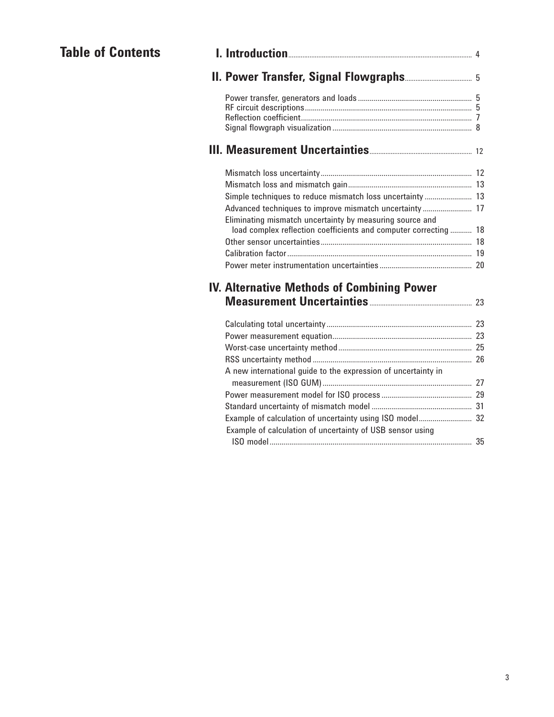# **Table of Contents**

| Simple techniques to reduce mismatch loss uncertainty  13                                                                    |  |
|------------------------------------------------------------------------------------------------------------------------------|--|
| Advanced techniques to improve mismatch uncertainty  17                                                                      |  |
| Eliminating mismatch uncertainty by measuring source and<br>load complex reflection coefficients and computer correcting  18 |  |
|                                                                                                                              |  |
|                                                                                                                              |  |
|                                                                                                                              |  |
|                                                                                                                              |  |
| <b>IV. Alternative Methods of Combining Power</b>                                                                            |  |
|                                                                                                                              |  |
|                                                                                                                              |  |
|                                                                                                                              |  |
|                                                                                                                              |  |
|                                                                                                                              |  |
| A new international guide to the expression of uncertainty in                                                                |  |
|                                                                                                                              |  |
|                                                                                                                              |  |

 Standard uncertainty of mismatch model ................................................... 31 Example of calculation of uncertainty using ISO model ........................... 32

ISO model ....................................................................................................... 35

Example of calculation of uncertainty of USB sensor using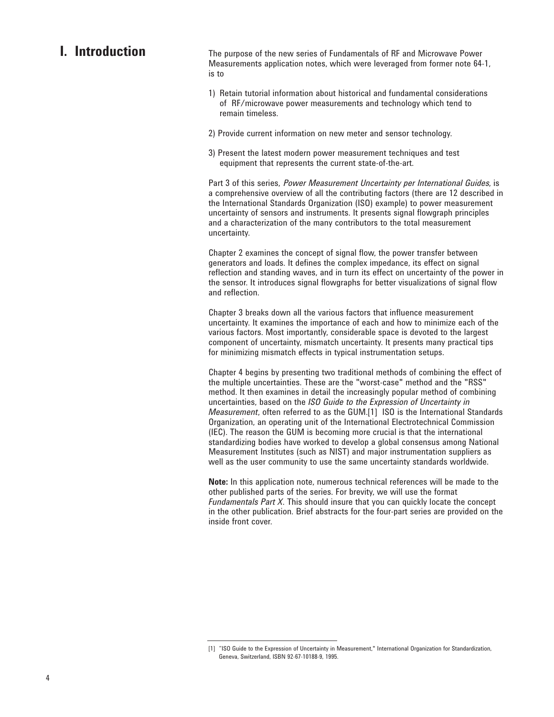## **I. Introduction**

The purpose of the new series of Fundamentals of RF and Microwave Power Measurements application notes, which were leveraged from former note 64-1, is to

- 1) Retain tutorial information about historical and fundamental considerations of RF/microwave power measurements and technology which tend to remain timeless.
- 2) Provide current information on new meter and sensor technology.
- 3) Present the latest modern power measurement techniques and test equipment that represents the current state-of-the-art.

Part 3 of this series, Power Measurement Uncertainty per International Guides, is a comprehensive overview of all the contributing factors (there are 12 described in the International Standards Organization (ISO) example) to power measurement uncertainty of sensors and instruments. It presents signal flowgraph principles and a characterization of the many contributors to the total measurement uncertainty.

Chapter 2 examines the concept of signal flow, the power transfer between generators and loads. It defines the complex impedance, its effect on signal reflection and standing waves, and in turn its effect on uncertainty of the power in the sensor. It introduces signal flowgraphs for better visualizations of signal flow and reflection.

Chapter 3 breaks down all the various factors that influence measurement uncertainty. It examines the importance of each and how to minimize each of the various factors. Most importantly, considerable space is devoted to the largest component of uncertainty, mismatch uncertainty. It presents many practical tips for minimizing mismatch effects in typical instrumentation setups.

Chapter 4 begins by presenting two traditional methods of combining the effect of the multiple uncertainties. These are the "worst-case" method and the "RSS" method. It then examines in detail the increasingly popular method of combining uncertainties, based on the *ISO Guide to the Expression of Uncertainty in Measurement*, often referred to as the GUM.[1] ISO is the International Standards Organization, an operating unit of the International Electrotechnical Commission (IEC). The reason the GUM is becoming more crucial is that the international standardizing bodies have worked to develop a global consensus among National Measurement Institutes (such as NIST) and major instrumentation suppliers as well as the user community to use the same uncertainty standards worldwide.

**Note:** In this application note, numerous technical references will be made to the other published parts of the series. For brevity, we will use the format *Fundamentals Part X*. This should insure that you can quickly locate the concept in the other publication. Brief abstracts for the four-part series are provided on the inside front cover.

<sup>[1] &</sup>quot;ISO Guide to the Expression of Uncertainty in Measurement," International Organization for Standardization, Geneva, Switzerland, ISBN 92-67-10188-9, 1995.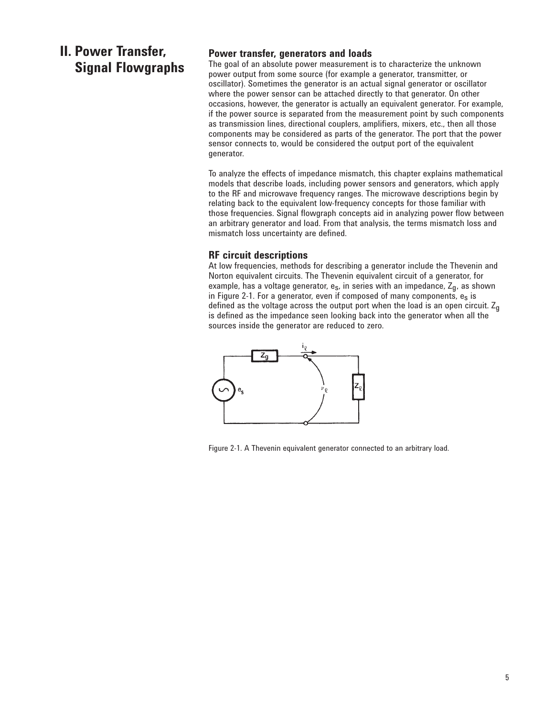## **II. Power Transfer, Signal Flowgraphs**

## **Power transfer, generators and loads**

The goal of an absolute power measurement is to characterize the unknown power output from some source (for example a generator, transmitter, or oscillator). Sometimes the generator is an actual signal generator or oscillator where the power sensor can be attached directly to that generator. On other occasions, however, the generator is actually an equivalent generator. For example, if the power source is separated from the measurement point by such components as transmission lines, directional couplers, amplifiers, mixers, etc., then all those components may be considered as parts of the generator. The port that the power sensor connects to, would be considered the output port of the equivalent generator.

To analyze the effects of impedance mismatch, this chapter explains mathematical models that describe loads, including power sensors and generators, which apply to the RF and microwave frequency ranges. The microwave descriptions begin by relating back to the equivalent low-frequency concepts for those familiar with those frequencies. Signal flowgraph concepts aid in analyzing power flow between an arbitrary generator and load. From that analysis, the terms mismatch loss and mismatch loss uncertainty are defined.

## **RF circuit descriptions**

At low frequencies, methods for describing a generator include the Thevenin and Norton equivalent circuits. The Thevenin equivalent circuit of a generator, for example, has a voltage generator,  $e_s$ , in series with an impedance,  $Z_q$ , as shown in Figure 2-1. For a generator, even if composed of many components,  $e_s$  is defined as the voltage across the output port when the load is an open circuit.  $Z_{n}$ is defined as the impedance seen looking back into the generator when all the sources inside the generator are reduced to zero.



Figure 2-1. A Thevenin equivalent generator connected to an arbitrary load.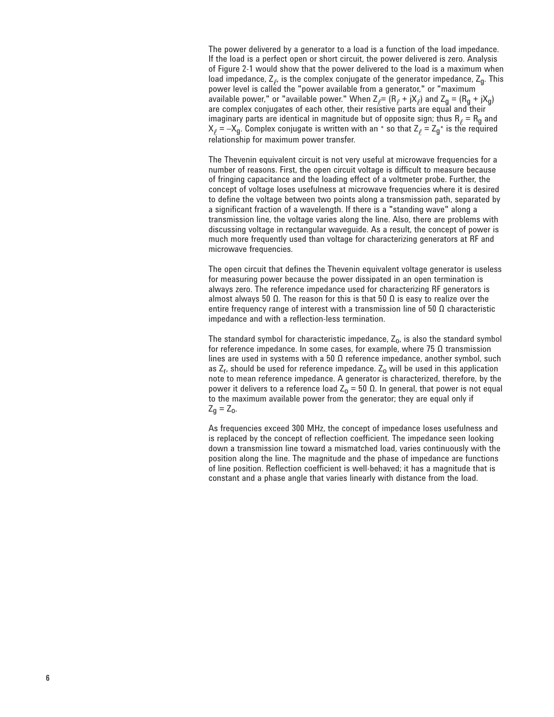The power delivered by a generator to a load is a function of the load impedance. If the load is a perfect open or short circuit, the power delivered is zero. Analysis of Figure 2-1 would show that the power delivered to the load is a maximum when load impedance,  $Z_{\varphi}$ , is the complex conjugate of the generator impedance,  $Z_{q}$ . This power level is called the "power available from a generator," or "maximum available power," or "available power." When  $Z_{\rho} = (R_{\rho} + jX_{\rho})$  and  $Z_g = (R_g + jX_g)$ are complex conjugates of each other, their resistive parts are equal and their imaginary parts are identical in magnitude but of opposite sign; thus  $R_\ell = R_g$  and  $\bm{\mathsf{X}}_\ell$  =  $-\bm{\mathsf{X}}_{\mathsf{g}}$ . Complex conjugate is written with an \* so that  $\bm{\mathsf{Z}}_\ell$  =  $\bm{\mathsf{Z}}_{\mathsf{g}}$ \* is the required relationship for maximum power transfer.

The Thevenin equivalent circuit is not very useful at microwave frequencies for a number of reasons. First, the open circuit voltage is difficult to measure because of fringing capacitance and the loading effect of a voltmeter probe. Further, the concept of voltage loses usefulness at microwave frequencies where it is desired to define the voltage between two points along a transmission path, separated by a significant fraction of a wavelength. If there is a "standing wave" along a transmission line, the voltage varies along the line. Also, there are problems with discussing voltage in rectangular waveguide. As a result, the concept of power is much more frequently used than voltage for characterizing generators at RF and microwave frequencies.

The open circuit that defines the Thevenin equivalent voltage generator is useless for measuring power because the power dissipated in an open termination is always zero. The reference impedance used for characterizing RF generators is almost always 50  $\Omega$ . The reason for this is that 50  $\Omega$  is easy to realize over the entire frequency range of interest with a transmission line of 50  $\Omega$  characteristic impedance and with a reflection-less termination.

The standard symbol for characteristic impedance,  $Z_0$ , is also the standard symbol for reference impedance. In some cases, for example, where  $75 \Omega$  transmission lines are used in systems with a 50  $\Omega$  reference impedance, another symbol, such as  $Z_r$ , should be used for reference impedance.  $Z_0$  will be used in this application note to mean reference impedance. A generator is characterized, therefore, by the power it delivers to a reference load  $Z_0 = 50$  Ω. In general, that power is not equal to the maximum available power from the generator; they are equal only if  $Z_{q} = Z_{0}$ .

As frequencies exceed 300 MHz, the concept of impedance loses usefulness and is replaced by the concept of reflection coefficient. The impedance seen looking down a transmission line toward a mismatched load, varies continuously with the position along the line. The magnitude and the phase of impedance are functions of line position. Reflection coefficient is well-behaved; it has a magnitude that is constant and a phase angle that varies linearly with distance from the load.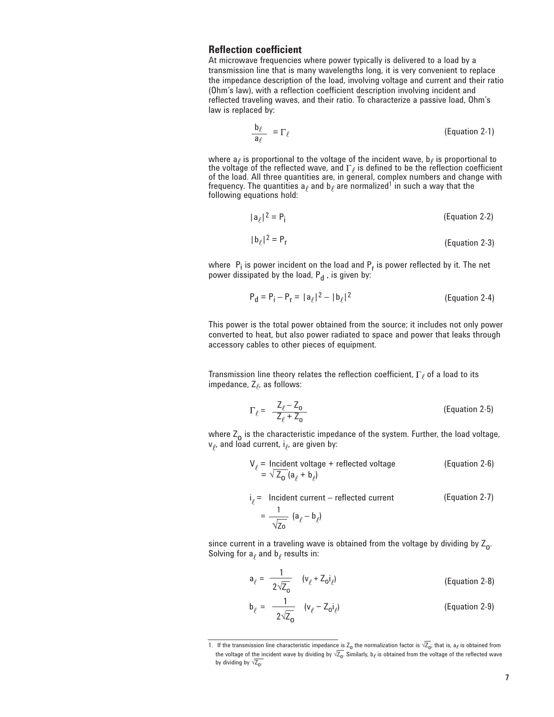### **Reflection coefficient**

At microwave frequencies where power typically is delivered to a load by a transmission line that is many wavelengths long, it is very convenient to replace the impedance description of the load, involving voltage and current and their ratio (Ohm's law), with a reflection coefficient description involving incident and reflected traveling waves, and their ratio. To characterize a passive load, Ohm's law is replaced by:

$$
\frac{\mathbf{b}_{\ell}}{\mathbf{a}_{\ell}} = \Gamma_{\ell} \tag{Equation 2-1}
$$

where  $a_\ell$  is proportional to the voltage of the incident wave,  $b_\ell$  is proportional to the voltage of the reflected wave, and  $\Gamma_\ell$  is defined to be the reflection coefficient of the load. All three quantities are, in general, complex numbers and change with frequency. The quantities  $\mathsf{a}_\ell$  and  $\mathsf{b}_\ell$  are normalized<sup>1</sup> in such a way that the  $\overline{\phantom{a}}$ following equations hold:

$$
|a_{\ell}|^2 = P_i
$$
 (Equation 2-2)

$$
|\mathbf{b}_{\ell}|^2 = \mathbf{P}_{\mathbf{r}} \tag{Equation 2-3}
$$

where  $P_i$  is power incident on the load and  $P_r$  is power reflected by it. The net power dissipated by the load,  $P_d$ , is given by:

$$
P_{d} = P_{i} - P_{r} = |a_{\ell}|^{2} - |b_{\ell}|^{2}
$$
 (Equation 2-4)

This power is the total power obtained from the source; it includes not only power converted to heat, but also power radiated to space and power that leaks through accessory cables to other pieces of equipment.

Transmission line theory relates the reflection coefficient,  $\Gamma$  of a load to its impedance,  $Z_{\ell}$ , as follows:

$$
\Gamma_{\ell} = \frac{Z_{\ell} - Z_{o}}{Z_{\ell} + Z_{o}}
$$
 (Equation 2-5)

where  $Z_0$  is the characteristic impedance of the system. Further, the load voltage,  $v_{\rho}$ , and load current, i<sub> $\ell$ </sub>, are given by:

$$
V_{\ell} = \text{Incident voltage} + \text{reflected voltage}
$$
 (Equation 2-6)  
=  $\sqrt{Z_0} (a_{\ell} + b_{\ell})$ 

 $i_e$  = Incident current – reflected current  $=\frac{1}{\sqrt{2}}$  (a<sub>(</sub> – b<sub>(</sub>) √Zo (Equation 2-7)

since current in a traveling wave is obtained from the voltage by dividing by  $Z_{0}$ . Solving for  $a_\ell$  and  $b_\ell$  results in:

$$
a_{\ell} = \frac{1}{2\sqrt{Z_0}} \quad (v_{\ell} + Z_0 i_{\ell})
$$
 (Equation 2-8)

$$
\mathbf{b}_{\ell} = \frac{1}{2\sqrt{Z_0}} \quad (\mathbf{v}_{\ell} - Z_0 \mathbf{i}_{\ell})
$$
 (Equation 2-9)

<sup>1.</sup> If the transmission line characteristic impedance is Z<sub>o</sub> the normalization factor is  $\sqrt{Z_n}$ ; that is, a<sub>l</sub> is obtained from the voltage of the incident wave by dividing by  $\sqrt{Z_{0}}$ . Similarly, b<sub>l</sub> is obtained from the voltage of the reflected wave by dividing by  $\sqrt{Z_{0}}$ .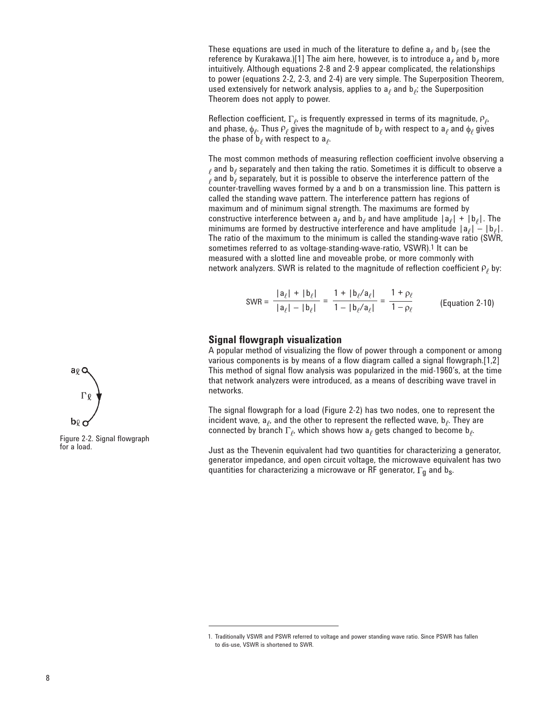These equations are used in much of the literature to define  $a_\ell$  and  $b_\ell$  (see the reference by Kurakawa.)[1] The aim here, however, is to introduce  $a_{\ell}$  and  $b_{\ell}$  more intuitively. Although equations 2-8 and 2-9 appear complicated, the relationships to power (equations 2-2, 2-3, and 2-4) are very simple. The Superposition Theorem, used extensively for network analysis, applies to  $a_\ell$  and  $b_\ell$ ; the Superposition Theorem does not apply to power.

Reflection coefficient,  $\Gamma_{\ell}$ , is frequently expressed in terms of its magnitude,  $\rho_{\ell}$ , and phase,  $\phi_{\ell}$ . Thus  $\mathsf{P}_{\ell}$  gives the magnitude of  $\mathsf{b}_{\ell}$  with respect to  $\mathsf{a}_{\ell}$  and  $\phi_{\ell}$  gives the phase of  $b_{\ell}$  with respect to  $a_{\ell}$ .

The most common methods of measuring reflection coefficient involve observing a  $\rho$  and b $\rho$  separately and then taking the ratio. Sometimes it is difficult to observe a  $\bar{\ell}$  and b $\bar{\ell}$  separately, but it is possible to observe the interference pattern of the counter-travelling waves formed by a and b on a transmission line. This pattern is called the standing wave pattern. The interference pattern has regions of maximum and of minimum signal strength. The maximums are formed by constructive interference between  $a_\ell$  and  $b_\ell$  and have amplitude  $|a_\ell| + |b_\ell|$ . The minimums are formed by destructive interference and have amplitude  $|a_\ell| - |b_\ell|$ . The ratio of the maximum to the minimum is called the standing-wave ratio (SWR, sometimes referred to as voltage-standing-wave-ratio, VSWR).1 It can be measured with a slotted line and moveable probe, or more commonly with network analyzers. SWR is related to the magnitude of reflection coefficient  $P_{\ell}$  by:

$$
SWR = \frac{|\mathbf{a}_{\ell}| + |\mathbf{b}_{\ell}|}{|\mathbf{a}_{\ell}| - |\mathbf{b}_{\ell}|} = \frac{1 + |\mathbf{b}_{\ell}/\mathbf{a}_{\ell}|}{1 - |\mathbf{b}_{\ell}/\mathbf{a}_{\ell}|} = \frac{1 + \rho_{\ell}}{1 - \rho_{\ell}}
$$
 (Equation 2-10)

## **Signal flowgraph visualization**

A popular method of visualizing the flow of power through a component or among various components is by means of a flow diagram called a signal flowgraph.[1,2] This method of signal flow analysis was popularized in the mid-1960's, at the time that network analyzers were introduced, as a means of describing wave travel in networks.

The signal flowgraph for a load (Figure 2-2) has two nodes, one to represent the incident wave,  $a_{\ell}$ , and the other to represent the reflected wave,  $b_{\ell}$ . They are connected by branch  $\Gamma_{\rho}$ , which shows how a<sub> $\rho$ </sub> gets changed to become b<sub> $\rho$ </sub>.

Just as the Thevenin equivalent had two quantities for characterizing a generator, generator impedance, and open circuit voltage, the microwave equivalent has two quantities for characterizing a microwave or RF generator,  $\Gamma_{q}$  and b<sub>s</sub>.



Figure 2-2. Signal flowgraph for a load.

<sup>1.</sup> Traditionally VSWR and PSWR referred to voltage and power standing wave ratio. Since PSWR has fallen to dis-use, VSWR is shortened to SWR.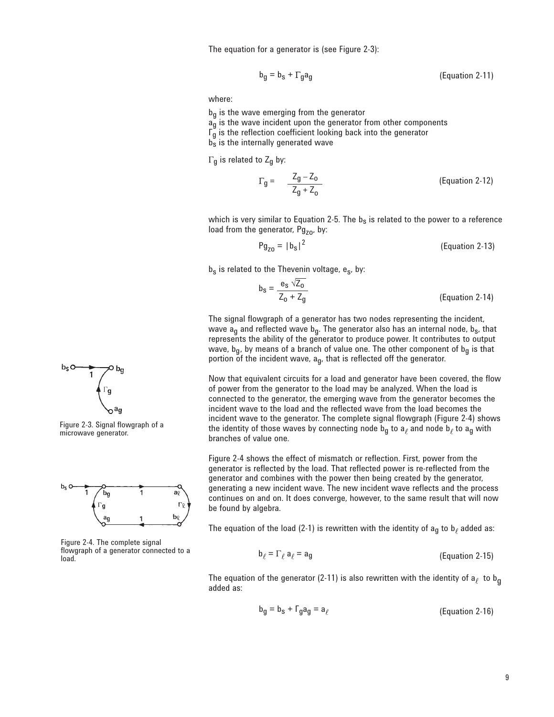The equation for a generator is (see Figure 2-3):

$$
b_g = b_s + \Gamma_g a_g \tag{Equation 2-11}
$$

where:

- $b_{q}$  is the wave emerging from the generator
- $a_{\overline{g}}$  is the wave incident upon the generator from other components
- $\mathsf{r}_{\mathsf{g}}$  is the reflection coefficient looking back into the generator
- $b_s$  is the internally generated wave

 $\Gamma$ <sub>g</sub> is related to Z<sub>g</sub> by:

$$
\Gamma_g = \frac{Z_g - Z_o}{Z_g + Z_o}
$$
 (Equation 2-12)

which is very similar to Equation 2-5. The  $b<sub>s</sub>$  is related to the power to a reference load from the generator,  $Pg_{z0}$ , by:

$$
Pg_{Z0} = |b_S|^2
$$
 (Equation 2-13)

 $b_s$  is related to the Thevenin voltage, e<sub>s</sub>, by:

$$
b_{s} = \frac{e_{s} \sqrt{2_{0}}}{Z_{0} + Z_{g}}
$$
 (Equation 2-14)

The signal flowgraph of a generator has two nodes representing the incident, wave  $a_g$  and reflected wave  $b_g$ . The generator also has an internal node,  $b_s$ , that represents the ability of the generator to produce power. It contributes to output wave,  $b_g$ , by means of a branch of value one. The other component of  $b_g$  is that portion of the incident wave,  $a_{q}$ , that is reflected off the generator.

Now that equivalent circuits for a load and generator have been covered, the flow of power from the generator to the load may be analyzed. When the load is connected to the generator, the emerging wave from the generator becomes the incident wave to the load and the reflected wave from the load becomes the incident wave to the generator. The complete signal flowgraph (Figure 2-4) shows the identity of those waves by connecting node  $b_q$  to a<sub>l</sub> and node  $b_\ell$  to a<sub>g</sub> with branches of value one.

Figure 2-4 shows the effect of mismatch or reflection. First, power from the generator is reflected by the load. That reflected power is re-reflected from the generator and combines with the power then being created by the generator, generating a new incident wave. The new incident wave reflects and the process continues on and on. It does converge, however, to the same result that will now be found by algebra.

The equation of the load (2-1) is rewritten with the identity of  $a_{\alpha}$  to  $b_{\beta}$  added as:

$$
\mathbf{b}_{\ell} = \Gamma_{\ell} \, \mathbf{a}_{\ell} = \mathbf{a}_{g} \tag{Equation 2-15}
$$

The equation of the generator (2-11) is also rewritten with the identity of  $a_{\ell}$  to  $b_g$  added as:

$$
b_g = b_s + \Gamma_g a_g = a_\ell
$$
 (Equation 2-16)



Figure 2-3. Signal flowgraph of a microwave generator.



Figure 2-4. The complete signal flowgraph of a generator connected to a load.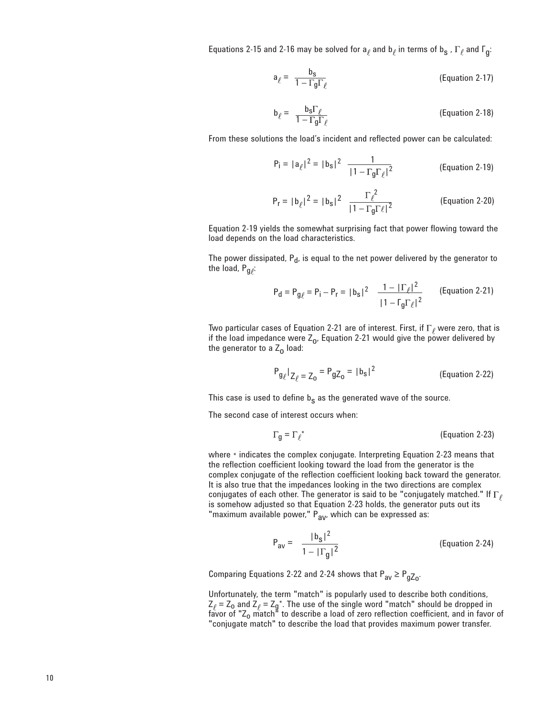Equations 2-15 and 2-16 may be solved for  $a_\ell$  and  $b_\ell$  in terms of  $b_S$  ,  $\Gamma_\ell$  and  $\Gamma_g$ :

$$
a_{\ell} = \frac{b_{s}}{1 - \Gamma_{g} \Gamma_{\ell}} \tag{Equation 2-17}
$$

$$
b_{\ell} = \frac{b_S \Gamma_{\ell}}{1 - \Gamma_g \Gamma_{\ell}} \tag{Equation 2-18}
$$

From these solutions the load's incident and reflected power can be calculated:

$$
P_i = |a_{\ell}|^2 = |b_s|^2 \frac{1}{|1 - \Gamma_g \Gamma_{\ell}|^2}
$$
 (Equation 2-19)

$$
P_r = |b_{\ell}|^2 = |b_s|^2 \frac{\Gamma_{\ell}^2}{|1 - \Gamma_g \Gamma_{\ell}|^2}
$$
 (Equation 2-20)

Equation 2-19 yields the somewhat surprising fact that power flowing toward the load depends on the load characteristics.

The power dissipated,  $P_d$ , is equal to the net power delivered by the generator to the load,  $P_{q}$ .

$$
P_{\mathbf{d}} = P_{g\ell} = P_{\mathbf{i}} - P_{\mathbf{r}} = |b_{\mathbf{s}}|^2 \frac{1 - |\Gamma_{\ell}|^2}{|1 - \Gamma_{g}\Gamma_{\ell}|^2}
$$
 (Equation 2-21)

Two particular cases of Equation 2-21 are of interest. First, if  $\Gamma_\ell$  were zero, that is if the load impedance were  $Z_0$ , Equation 2-21 would give the power delivered by the generator to a  $Z_0$  load:

$$
P_{g_{\ell}}|_{Z_{\ell}} = Z_0 = P_{gZ_0} = |b_s|^2
$$
 (Equation 2-22)

This case is used to define  $b_s$  as the generated wave of the source.

The second case of interest occurs when:

$$
G_{g} = \Gamma_{\ell}^{*}
$$
 (Equation 2-23)

where  $*$  indicates the complex conjugate. Interpreting Equation 2-23 means that the reflection coefficient looking toward the load from the generator is the complex conjugate of the reflection coefficient looking back toward the generator. It is also true that the impedances looking in the two directions are complex conjugates of each other. The generator is said to be "conjugately matched." If  $\Gamma_\ell$ is somehow adjusted so that Equation 2-23 holds, the generator puts out its "maximum available power," P<sub>av</sub>, which can be expressed as:

$$
P_{av} = \frac{|b_s|^2}{1 - |\Gamma_g|^2}
$$
 (Equation 2-24)

Comparing Equations 2-22 and 2-24 shows that  $P_{av} \ge P_{qZo}$ .

Unfortunately, the term "match" is popularly used to describe both conditions,  $\mathsf{Z}_{\ell}$  =  $\mathsf{Z}_{\mathsf{o}}$  and  $\mathsf{Z}_{\ell}$  =  $\mathsf{Z}_{\mathsf{g}}$  \*. The use of the single word "match" should be dropped in favor of "Z<sub>o</sub> match" to describe a load of zero reflection coefficient, and in favor of "conjugate match" to describe the load that provides maximum power transfer.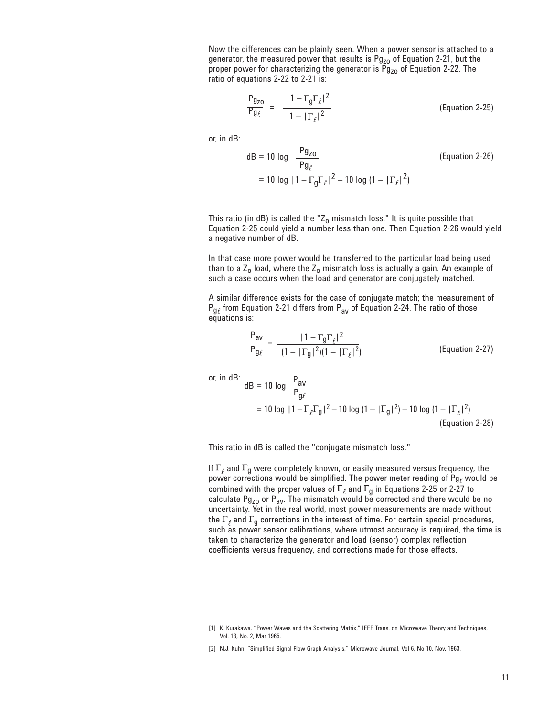Now the differences can be plainly seen. When a power sensor is attached to a generator, the measured power that results is  $Pg_{z0}$  of Equation 2-21, but the proper power for characterizing the generator is  $Pg_{z0}$  of Equation 2-22. The ratio of equations 2-22 to 2-21 is:

$$
\frac{P_{g_{ZO}}}{P_{g_{\ell}}} = \frac{|1 - \Gamma_g \Gamma_{\ell}|^2}{1 - |\Gamma_{\ell}|^2}
$$
 (Equation 2-25)

or, in dB:

dB = 10 log 
$$
\frac{Pg_{ZO}}{Pg_{\ell}}
$$
 (Equation 2-26)  
= 10 log  $|1 - \Gamma_g \Gamma_{\ell}|^2 - 10$  log  $(1 - |\Gamma_{\ell}|^2)$ 

This ratio (in dB) is called the " $Z_0$  mismatch loss." It is quite possible that Equation 2-25 could yield a number less than one. Then Equation 2-26 would yield a negative number of dB.

In that case more power would be transferred to the particular load being used than to a  $Z_0$  load, where the  $Z_0$  mismatch loss is actually a gain. An example of such a case occurs when the load and generator are conjugately matched.

A similar difference exists for the case of conjugate match; the measurement of  $P_{q\ell}$  from Equation 2-21 differs from  $P_{\text{av}}$  of Equation 2-24. The ratio of those equations is:

$$
\frac{P_{av}}{P_{g\ell}} = \frac{|1 - \Gamma_g \Gamma_\ell|^2}{(1 - |\Gamma_g|^2)(1 - |\Gamma_\ell|^2)}
$$
 (Equation 2-27)

or, in dB:  
\ndB = 10 log 
$$
\frac{P_{av}}{P_{g\ell}}
$$
  
\n= 10 log  $|1 - \Gamma_{\ell} \Gamma_g|^2 - 10$  log  $(1 - |\Gamma_g|^2) - 10$  log  $(1 - |\Gamma_{\ell}|^2)$   
\n(Equation 2-28)

This ratio in dB is called the "conjugate mismatch loss."

If  $\Gamma_\ell$  and  $\Gamma_\mathfrak{g}$  were completely known, or easily measured versus frequency, the power corrections would be simplified. The power meter reading of Pg<sub>l</sub> would be combined with the proper values of  $\Gamma_\ell$  and  $\Gamma_g$  in Equations 2-25 or 2-27 to calculate Pg<sub>zo</sub> or P<sub>av</sub>. The mismatch would be corrected and there would be no uncertainty. Yet in the real world, most power measurements are made without the  $\Gamma_\ell$  and  $\Gamma_\alpha$  corrections in the interest of time. For certain special procedures, such as power sensor calibrations, where utmost accuracy is required, the time is taken to characterize the generator and load (sensor) complex reflection coefficients versus frequency, and corrections made for those effects.

<sup>[1]</sup> K. Kurakawa, "Power Waves and the Scattering Matrix," IEEE Trans. on Microwave Theory and Techniques, Vol. 13, No. 2, Mar 1965.

<sup>[2]</sup> N.J. Kuhn, "Simplified Signal Flow Graph Analysis," Microwave Journal, Vol 6, No 10, Nov. 1963.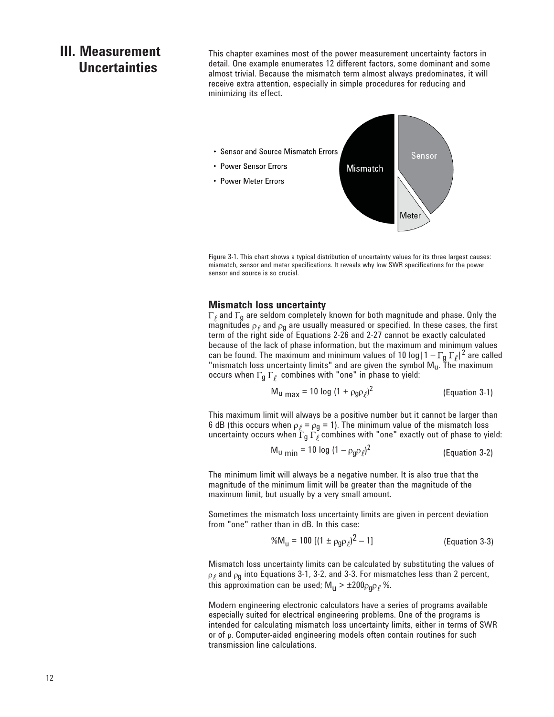## **III. Measurement Uncertainties**

This chapter examines most of the power measurement uncertainty factors in detail. One example enumerates 12 different factors, some dominant and some almost trivial. Because the mismatch term almost always predominates, it will receive extra attention, especially in simple procedures for reducing and minimizing its effect.



Figure 3-1. This chart shows a typical distribution of uncertainty values for its three largest causes: mismatch, sensor and meter specifications. It reveals why low SWR specifications for the power sensor and source is so crucial.

#### **Mismatch loss uncertainty**

 $\Gamma_\ell$  and  $\Gamma_\mathbf{q}$  are seldom completely known for both magnitude and phase. Only the magnitudes  $\rho_{\ell}$  and  $\rho_g$  are usually measured or specified. In these cases, the first term of the right side of Equations 2-26 and 2-27 cannot be exactly calculated because of the lack of phase information, but the maximum and minimum values can be found. The maximum and minimum values of 10 log  $|1-\Gamma_{\mathfrak{g}}|\Gamma_{\ell}|^2$  are called "mismatch loss uncertainty limits" and are given the symbol  $\mathsf{M}_{\mathsf{u}}$ . The maximum occurs when  $\Gamma_{\mathsf{g}} \, \Gamma_{\ell}$  combines with "one" in phase to yield:

$$
M_{u \text{ max}} = 10 \log (1 + \rho_{g} \rho_{\ell})^2
$$
 (Equation 3-1)

This maximum limit will always be a positive number but it cannot be larger than 6 dB (this occurs when  $\rho_{\ell}$  =  $\rho_{\text{g}}$  = 1). The minimum value of the mismatch loss uncertainty occurs when  $\Gamma_{\bf g} \, \Gamma_\ell$  combines with "one" exactly out of phase to yield:

$$
M_u_{min} = 10 \log (1 - \rho_g \rho_\ell)^2
$$
 (Equation 3-2)

The minimum limit will always be a negative number. It is also true that the magnitude of the minimum limit will be greater than the magnitude of the maximum limit, but usually by a very small amount.

Sometimes the mismatch loss uncertainty limits are given in percent deviation from "one" rather than in dB. In this case:

$$
%M_{u} = 100 [(1 \pm \rho_{0} \rho_{\ell})^{2} - 1]
$$
 (Equation 3-3)

Mismatch loss uncertainty limits can be calculated by substituting the values of  $\rho_{\ell}$  and  $\rho_{q}$  into Equations 3-1, 3-2, and 3-3. For mismatches less than 2 percent, this approximation can be used;  $M_{\text{H}}$  >  $\pm 200 \rho_{0} \rho_{\ell}$ %.

Modern engineering electronic calculators have a series of programs available especially suited for electrical engineering problems. One of the programs is intended for calculating mismatch loss uncertainty limits, either in terms of SWR or of ρ. Computer-aided engineering models often contain routines for such transmission line calculations.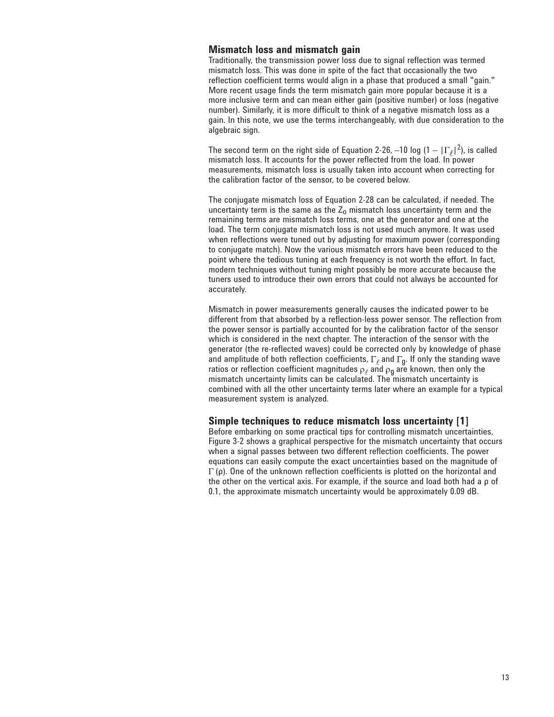## **Mismatch loss and mismatch gain**

Traditionally, the transmission power loss due to signal reflection was termed mismatch loss. This was done in spite of the fact that occasionally the two reflection coefficient terms would align in a phase that produced a small "gain." More recent usage finds the term mismatch gain more popular because it is a more inclusive term and can mean either gain (positive number) or loss (negative number). Similarly, it is more difficult to think of a negative mismatch loss as a gain. In this note, we use the terms interchangeably, with due consideration to the algebraic sign.

The second term on the right side of Equation 2-26, -10 log  $(1 - |\Gamma_{\ell}|^2)$ , is called mismatch loss. It accounts for the power reflected from the load. In power measurements, mismatch loss is usually taken into account when correcting for the calibration factor of the sensor, to be covered below.

The conjugate mismatch loss of Equation 2-28 can be calculated, if needed. The uncertainty term is the same as the  $Z_0$  mismatch loss uncertainty term and the remaining terms are mismatch loss terms, one at the generator and one at the load. The term conjugate mismatch loss is not used much anymore. It was used when reflections were tuned out by adjusting for maximum power (corresponding to conjugate match). Now the various mismatch errors have been reduced to the point where the tedious tuning at each frequency is not worth the effort. In fact, modern techniques without tuning might possibly be more accurate because the tuners used to introduce their own errors that could not always be accounted for accurately.

Mismatch in power measurements generally causes the indicated power to be different from that absorbed by a reflection-less power sensor. The reflection from the power sensor is partially accounted for by the calibration factor of the sensor which is considered in the next chapter. The interaction of the sensor with the generator (the re-reflected waves) could be corrected only by knowledge of phase and amplitude of both reflection coefficients,  $\Gamma_\ell$  and  $\Gamma_\mathbf{d}$ . If only the standing wave ratios or reflection coefficient magnitudes  $\rho_{\ell}$  and  $\rho_{q}$  are known, then only the mismatch uncertainty limits can be calculated. The mismatch uncertainty is combined with all the other uncertainty terms later where an example for a typical measurement system is analyzed.

#### **Simple techniques to reduce mismatch loss uncertainty [1]**

Before embarking on some practical tips for controlling mismatch uncertainties, Figure 3-2 shows a graphical perspective for the mismatch uncertainty that occurs when a signal passes between two different reflection coefficients. The power equations can easily compute the exact uncertainties based on the magnitude of  $\Gamma$  (ρ). One of the unknown reflection coefficients is plotted on the horizontal and the other on the vertical axis. For example, if the source and load both had a ρ of 0.1, the approximate mismatch uncertainty would be approximately 0.09 dB.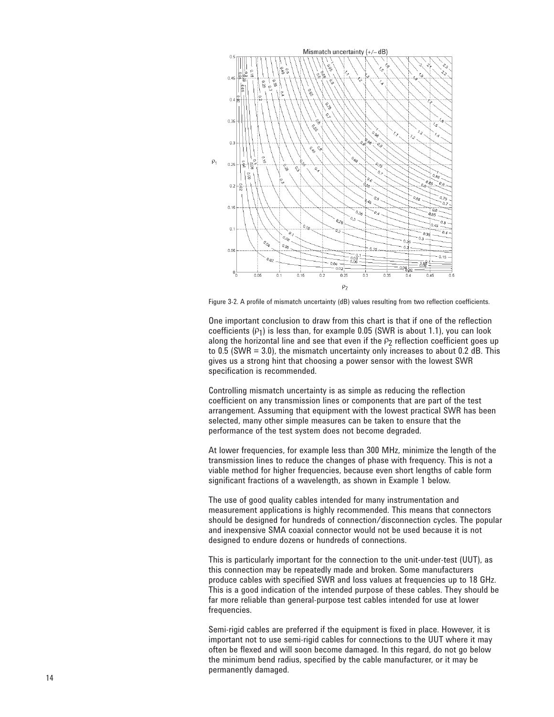

Figure 3-2. A profile of mismatch uncertainty (dB) values resulting from two reflection coefficients.

One important conclusion to draw from this chart is that if one of the reflection coefficients  $(P_1)$  is less than, for example 0.05 (SWR is about 1.1), you can look along the horizontal line and see that even if the  $P_2$  reflection coefficient goes up to 0.5 (SWR = 3.0), the mismatch uncertainty only increases to about 0.2 dB. This gives us a strong hint that choosing a power sensor with the lowest SWR specification is recommended.

Controlling mismatch uncertainty is as simple as reducing the reflection coefficient on any transmission lines or components that are part of the test arrangement. Assuming that equipment with the lowest practical SWR has been selected, many other simple measures can be taken to ensure that the performance of the test system does not become degraded.

At lower frequencies, for example less than 300 MHz, minimize the length of the transmission lines to reduce the changes of phase with frequency. This is not a viable method for higher frequencies, because even short lengths of cable form significant fractions of a wavelength, as shown in Example 1 below.

The use of good quality cables intended for many instrumentation and measurement applications is highly recommended. This means that connectors should be designed for hundreds of connection/disconnection cycles. The popular and inexpensive SMA coaxial connector would not be used because it is not designed to endure dozens or hundreds of connections.

This is particularly important for the connection to the unit-under-test (UUT), as this connection may be repeatedly made and broken. Some manufacturers produce cables with specified SWR and loss values at frequencies up to 18 GHz. This is a good indication of the intended purpose of these cables. They should be far more reliable than general-purpose test cables intended for use at lower frequencies.

Semi-rigid cables are preferred if the equipment is fixed in place. However, it is important not to use semi-rigid cables for connections to the UUT where it may often be flexed and will soon become damaged. In this regard, do not go below the minimum bend radius, specified by the cable manufacturer, or it may be permanently damaged.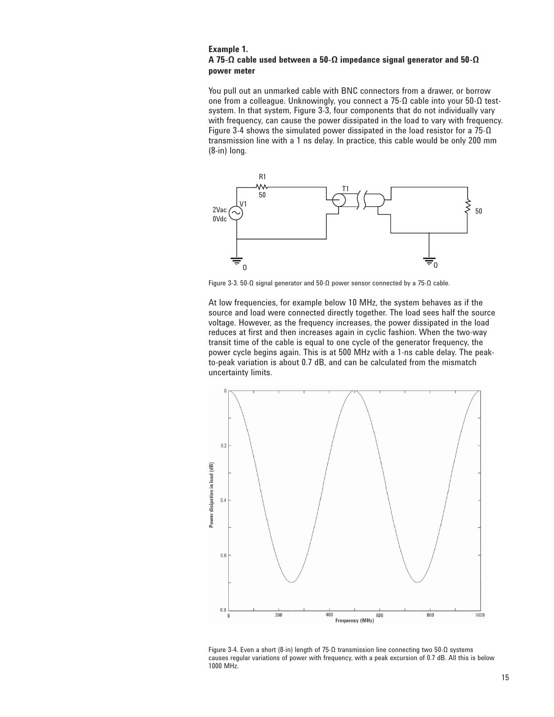#### **Example 1. A 75-Ω cable used between a 50-Ω impedance signal generator and 50-Ω power meter**

You pull out an unmarked cable with BNC connectors from a drawer, or borrow one from a colleague. Unknowingly, you connect a 75-Ω cable into your 50-Ω testsystem. In that system, Figure 3-3, four components that do not individually vary with frequency, can cause the power dissipated in the load to vary with frequency. Figure 3-4 shows the simulated power dissipated in the load resistor for a  $75-\Omega$ transmission line with a 1 ns delay. In practice, this cable would be only 200 mm (8-in) long.



Figure 3-3. 50-Ω signal generator and 50-Ω power sensor connected by a 75-Ω cable.

At low frequencies, for example below 10 MHz, the system behaves as if the source and load were connected directly together. The load sees half the source voltage. However, as the frequency increases, the power dissipated in the load reduces at first and then increases again in cyclic fashion. When the two-way transit time of the cable is equal to one cycle of the generator frequency, the power cycle begins again. This is at 500 MHz with a 1-ns cable delay. The peakto-peak variation is about 0.7 dB, and can be calculated from the mismatch uncertainty limits.



Figure 3-4. Even a short (8-in) length of 75-Ω transmission line connecting two 50-Ω systems causes regular variations of power with frequency, with a peak excursion of 0.7 dB. All this is below 1000 MHz.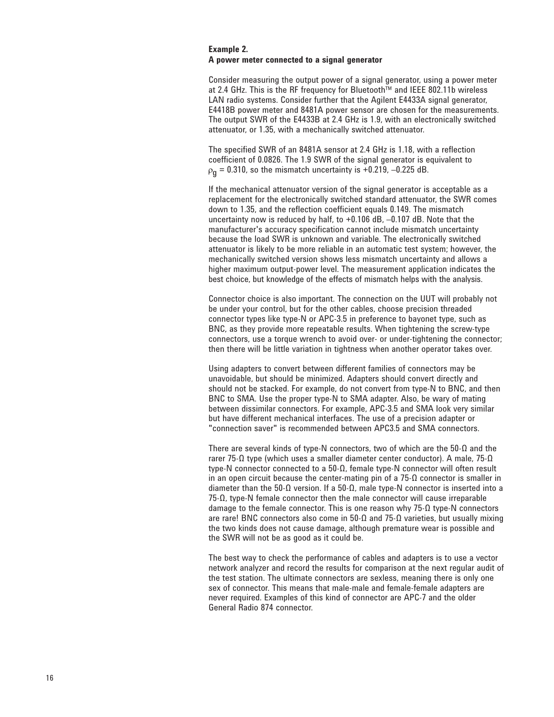#### **Example 2. A power meter connected to a signal generator**

Consider measuring the output power of a signal generator, using a power meter at 2.4 GHz. This is the RF frequency for Bluetooth™ and IEEE 802.11b wireless LAN radio systems. Consider further that the Agilent E4433A signal generator, E4418B power meter and 8481A power sensor are chosen for the measurements. The output SWR of the E4433B at 2.4 GHz is 1.9, with an electronically switched attenuator, or 1.35, with a mechanically switched attenuator.

The specified SWR of an 8481A sensor at 2.4 GHz is 1.18, with a reflection coefficient of 0.0826. The 1.9 SWR of the signal generator is equivalent to  $\rho_{\bf n}$  = 0.310, so the mismatch uncertainty is +0.219, -0.225 dB.

If the mechanical attenuator version of the signal generator is acceptable as a replacement for the electronically switched standard attenuator, the SWR comes down to 1.35, and the reflection coefficient equals 0.149. The mismatch uncertainty now is reduced by half, to +0.106 dB, –0.107 dB. Note that the manufacturer's accuracy specification cannot include mismatch uncertainty because the load SWR is unknown and variable. The electronically switched attenuator is likely to be more reliable in an automatic test system; however, the mechanically switched version shows less mismatch uncertainty and allows a higher maximum output-power level. The measurement application indicates the best choice, but knowledge of the effects of mismatch helps with the analysis.

Connector choice is also important. The connection on the UUT will probably not be under your control, but for the other cables, choose precision threaded connector types like type-N or APC-3.5 in preference to bayonet type, such as BNC, as they provide more repeatable results. When tightening the screw-type connectors, use a torque wrench to avoid over- or under-tightening the connector; then there will be little variation in tightness when another operator takes over.

Using adapters to convert between different families of connectors may be unavoidable, but should be minimized. Adapters should convert directly and should not be stacked. For example, do not convert from type-N to BNC, and then BNC to SMA. Use the proper type-N to SMA adapter. Also, be wary of mating between dissimilar connectors. For example, APC-3.5 and SMA look very similar but have different mechanical interfaces. The use of a precision adapter or "connection saver" is recommended between APC3.5 and SMA connectors.

There are several kinds of type-N connectors, two of which are the 50-Ω and the rarer 75-Ω type (which uses a smaller diameter center conductor). A male, 75-Ω type-N connector connected to a 50-Ω, female type-N connector will often result in an open circuit because the center-mating pin of a  $75-\Omega$  connector is smaller in diameter than the 50-Ω version. If a 50-Ω, male type-N connector is inserted into a 75-Ω, type-N female connector then the male connector will cause irreparable damage to the female connector. This is one reason why 75-Ω type-N connectors are rare! BNC connectors also come in 50-Ω and 75-Ω varieties, but usually mixing the two kinds does not cause damage, although premature wear is possible and the SWR will not be as good as it could be.

The best way to check the performance of cables and adapters is to use a vector network analyzer and record the results for comparison at the next regular audit of the test station. The ultimate connectors are sexless, meaning there is only one sex of connector. This means that male-male and female-female adapters are never required. Examples of this kind of connector are APC-7 and the older General Radio 874 connector.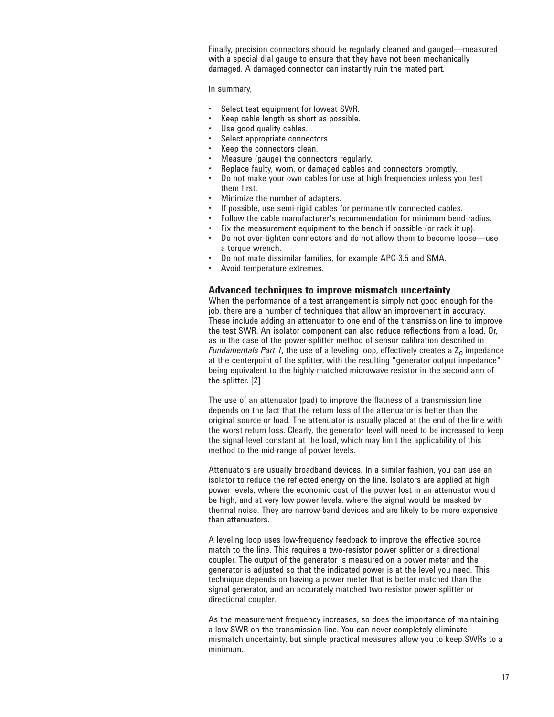Finally, precision connectors should be regularly cleaned and gauged—measured with a special dial gauge to ensure that they have not been mechanically damaged. A damaged connector can instantly ruin the mated part.

#### In summary,

- Select test equipment for lowest SWR.
- Keep cable length as short as possible.
- Use good quality cables.
- Select appropriate connectors.
- Keep the connectors clean.
- Measure (gauge) the connectors regularly.
- Replace faulty, worn, or damaged cables and connectors promptly.
- Do not make your own cables for use at high frequencies unless you test them first.
- Minimize the number of adapters.
	- If possible, use semi-rigid cables for permanently connected cables.
- Follow the cable manufacturer's recommendation for minimum bend-radius.
- Fix the measurement equipment to the bench if possible (or rack it up).
- Do not over-tighten connectors and do not allow them to become loose—use a torque wrench.
- Do not mate dissimilar families, for example APC-3.5 and SMA.
- Avoid temperature extremes.

### **Advanced techniques to improve mismatch uncertainty**

When the performance of a test arrangement is simply not good enough for the job, there are a number of techniques that allow an improvement in accuracy. These include adding an attenuator to one end of the transmission line to improve the test SWR. An isolator component can also reduce reflections from a load. Or, as in the case of the power-splitter method of sensor calibration described in *Fundamentals Part 1*, the use of a leveling loop, effectively creates a  $Z_0$  impedance at the centerpoint of the splitter, with the resulting "generator output impedance" being equivalent to the highly-matched microwave resistor in the second arm of the splitter. [2]

The use of an attenuator (pad) to improve the flatness of a transmission line depends on the fact that the return loss of the attenuator is better than the original source or load. The attenuator is usually placed at the end of the line with the worst return loss. Clearly, the generator level will need to be increased to keep the signal-level constant at the load, which may limit the applicability of this method to the mid-range of power levels.

Attenuators are usually broadband devices. In a similar fashion, you can use an isolator to reduce the reflected energy on the line. Isolators are applied at high power levels, where the economic cost of the power lost in an attenuator would be high, and at very low power levels, where the signal would be masked by thermal noise. They are narrow-band devices and are likely to be more expensive than attenuators.

A leveling loop uses low-frequency feedback to improve the effective source match to the line. This requires a two-resistor power splitter or a directional coupler. The output of the generator is measured on a power meter and the generator is adjusted so that the indicated power is at the level you need. This technique depends on having a power meter that is better matched than the signal generator, and an accurately matched two-resistor power-splitter or directional coupler.

As the measurement frequency increases, so does the importance of maintaining a low SWR on the transmission line. You can never completely eliminate mismatch uncertainty, but simple practical measures allow you to keep SWRs to a minimum.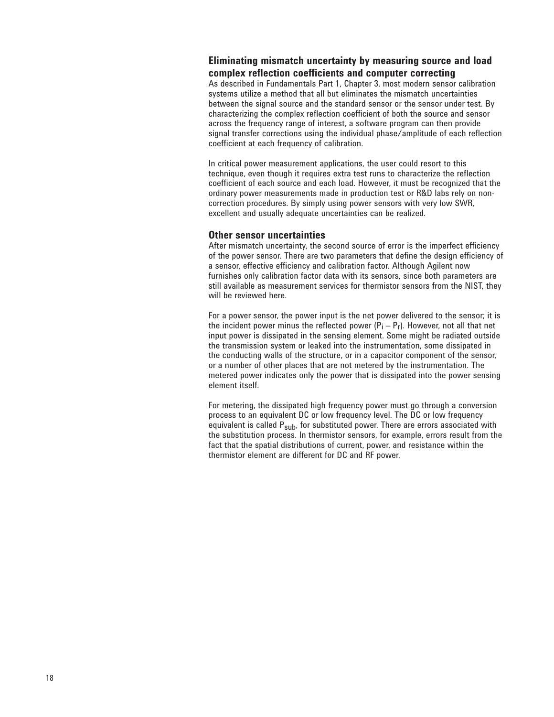## **Eliminating mismatch uncertainty by measuring source and load complex reflection coefficients and computer correcting**

As described in Fundamentals Part 1, Chapter 3, most modern sensor calibration systems utilize a method that all but eliminates the mismatch uncertainties between the signal source and the standard sensor or the sensor under test. By characterizing the complex reflection coefficient of both the source and sensor across the frequency range of interest, a software program can then provide signal transfer corrections using the individual phase/amplitude of each reflection coefficient at each frequency of calibration.

In critical power measurement applications, the user could resort to this technique, even though it requires extra test runs to characterize the reflection coefficient of each source and each load. However, it must be recognized that the ordinary power measurements made in production test or R&D labs rely on noncorrection procedures. By simply using power sensors with very low SWR, excellent and usually adequate uncertainties can be realized.

### **Other sensor uncertainties**

After mismatch uncertainty, the second source of error is the imperfect efficiency of the power sensor. There are two parameters that define the design efficiency of a sensor, effective efficiency and calibration factor. Although Agilent now furnishes only calibration factor data with its sensors, since both parameters are still available as measurement services for thermistor sensors from the NIST, they will be reviewed here.

For a power sensor, the power input is the net power delivered to the sensor; it is the incident power minus the reflected power  $(P_i - P_f)$ . However, not all that net input power is dissipated in the sensing element. Some might be radiated outside the transmission system or leaked into the instrumentation, some dissipated in the conducting walls of the structure, or in a capacitor component of the sensor, or a number of other places that are not metered by the instrumentation. The metered power indicates only the power that is dissipated into the power sensing element itself.

For metering, the dissipated high frequency power must go through a conversion process to an equivalent DC or low frequency level. The DC or low frequency equivalent is called P<sub>sub</sub>, for substituted power. There are errors associated with the substitution process. In thermistor sensors, for example, errors result from the fact that the spatial distributions of current, power, and resistance within the thermistor element are different for DC and RF power.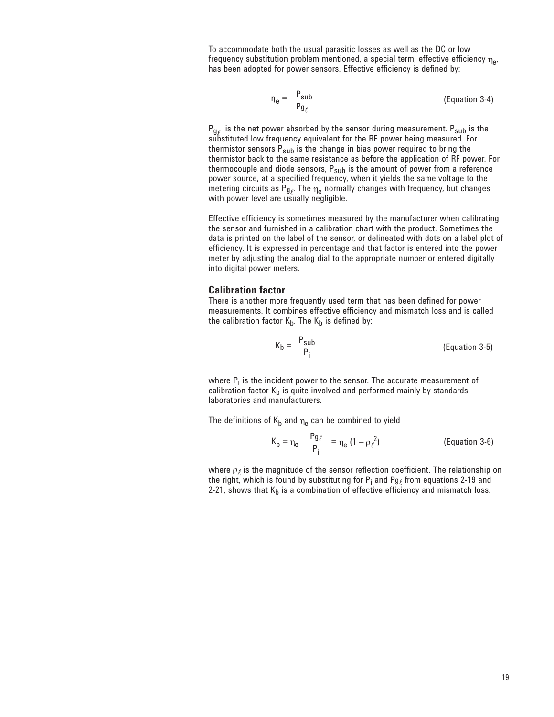To accommodate both the usual parasitic losses as well as the DC or low frequency substitution problem mentioned, a special term, effective efficiency  $\eta_{\alpha}$ , has been adopted for power sensors. Effective efficiency is defined by:

$$
\eta_e = \frac{P_{sub}}{Pg_\ell} \tag{Equation 3-4}
$$

 $P_{g}$  is the net power absorbed by the sensor during measurement.  $P_{sub}$  is the substituted low frequency equivalent for the RF power being measured. For thermistor sensors  $P_{sub}$  is the change in bias power required to bring the thermistor back to the same resistance as before the application of RF power. For thermocouple and diode sensors,  $P_{sub}$  is the amount of power from a reference power source, at a specified frequency, when it yields the same voltage to the metering circuits as  $P_{g_\ell}$ . The  $\eta_e$  normally changes with frequency, but changes with power level are usually negligible.

Effective efficiency is sometimes measured by the manufacturer when calibrating the sensor and furnished in a calibration chart with the product. Sometimes the data is printed on the label of the sensor, or delineated with dots on a label plot of efficiency. It is expressed in percentage and that factor is entered into the power meter by adjusting the analog dial to the appropriate number or entered digitally into digital power meters.

#### **Calibration factor**

There is another more frequently used term that has been defined for power measurements. It combines effective efficiency and mismatch loss and is called the calibration factor  $K_b$ . The  $K_b$  is defined by:

$$
K_b = \frac{P_{sub}}{P_i}
$$
 (Equation 3-5)

where  $P_i$  is the incident power to the sensor. The accurate measurement of calibration factor  $K_b$  is quite involved and performed mainly by standards laboratories and manufacturers.

The definitions of  $K_b$  and  $\eta_e$  can be combined to yield

$$
K_{b} = \eta_{e} \qquad \frac{P g_{\ell}}{P_{i}} = \eta_{e} (1 - \rho_{\ell}^{2})
$$
 (Equation 3-6)

where  $\rho_{\ell}$  is the magnitude of the sensor reflection coefficient. The relationship on the right, which is found by substituting for  $P_i$  and  $Pg_\ell$  from equations 2-19 and 2-21, shows that  $K_b$  is a combination of effective efficiency and mismatch loss.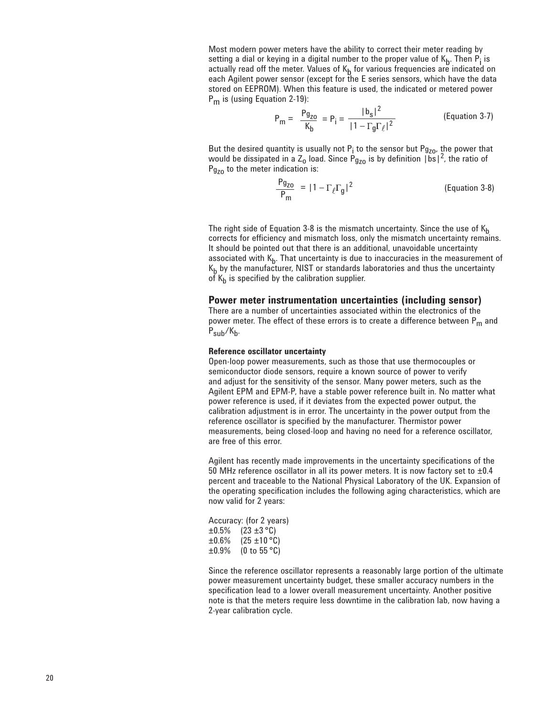Most modern power meters have the ability to correct their meter reading by setting a dial or keying in a digital number to the proper value of  $K_b$ . Then  $P_i$  is actually read off the meter. Values of K<sub>b</sub> for various frequencies are indicated on<br>each Agilent power sensor (except for the E series sensors, which have the data stored on EEPROM). When this feature is used, the indicated or metered power  $P_m$  is (using Equation 2-19):

$$
P_m = \frac{Pg_{zo}}{K_b} = P_i = \frac{|b_s|^2}{|1 - \Gamma_g \Gamma_\ell|^2}
$$
 (Equation 3-7)

But the desired quantity is usually not  $P_i$  to the sensor but  $Pg_{Z0}$ , the power that would be dissipated in a Z<sub>o</sub> load. Since P<sub>gzo</sub> is by definition  $|bs|^2$ , the ratio of  $P_{g_{70}}$  to the meter indication is:

$$
\frac{Pg_{ZO}}{P_m} = |1 - \Gamma_{\ell} \Gamma_g|^2
$$
 (Equation 3-8)

The right side of Equation 3-8 is the mismatch uncertainty. Since the use of  $K_h$ corrects for efficiency and mismatch loss, only the mismatch uncertainty remains. It should be pointed out that there is an additional, unavoidable uncertainty associated with  $K_{b}$ . That uncertainty is due to inaccuracies in the measurement of  $K_b$  by the manufacturer, NIST or standards laboratories and thus the uncertainty of  $K_b$  is specified by the calibration supplier.

#### **Power meter instrumentation uncertainties (including sensor)**

There are a number of uncertainties associated within the electronics of the power meter. The effect of these errors is to create a difference between P<sub>m</sub> and  $P_{sub}/K_h$ .

#### **Reference oscillator uncertainty**

Open-loop power measurements, such as those that use thermocouples or semiconductor diode sensors, require a known source of power to verify and adjust for the sensitivity of the sensor. Many power meters, such as the Agilent EPM and EPM-P, have a stable power reference built in. No matter what power reference is used, if it deviates from the expected power output, the calibration adjustment is in error. The uncertainty in the power output from the reference oscillator is specified by the manufacturer. Thermistor power measurements, being closed-loop and having no need for a reference oscillator, are free of this error.

Agilent has recently made improvements in the uncertainty specifications of the 50 MHz reference oscillator in all its power meters. It is now factory set to  $\pm 0.4$ percent and traceable to the National Physical Laboratory of the UK. Expansion of the operating specification includes the following aging characteristics, which are now valid for 2 years:

Accuracy: (for 2 years)  $\pm 0.5\%$  (23  $\pm 3$  °C)<br> $\pm 0.6\%$  (25  $\pm 10$  °C  $\pm 0.6\%$  (25  $\pm 10\degree$ C)<br> $\pm 0.9\%$  (0 to 55 °C)  $(0 to 55 °C)$ 

Since the reference oscillator represents a reasonably large portion of the ultimate power measurement uncertainty budget, these smaller accuracy numbers in the specification lead to a lower overall measurement uncertainty. Another positive note is that the meters require less downtime in the calibration lab, now having a 2-year calibration cycle.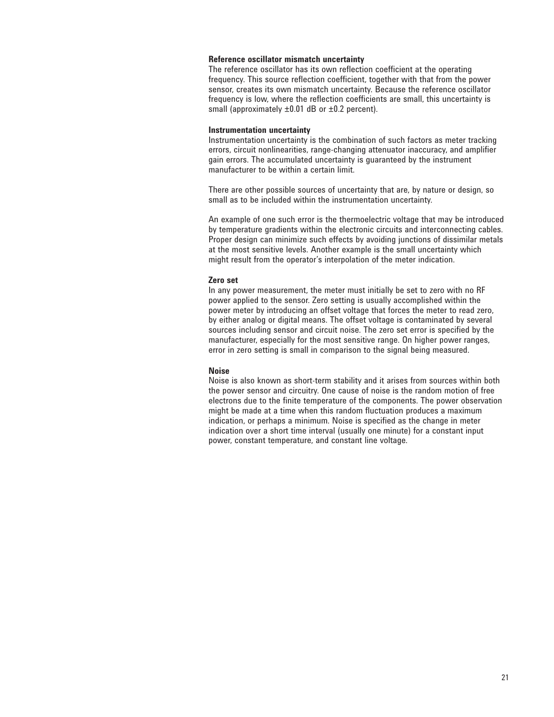#### **Reference oscillator mismatch uncertainty**

The reference oscillator has its own reflection coefficient at the operating frequency. This source reflection coefficient, together with that from the power sensor, creates its own mismatch uncertainty. Because the reference oscillator frequency is low, where the reflection coefficients are small, this uncertainty is small (approximately  $\pm 0.01$  dB or  $\pm 0.2$  percent).

#### **Instrumentation uncertainty**

Instrumentation uncertainty is the combination of such factors as meter tracking errors, circuit nonlinearities, range-changing attenuator inaccuracy, and amplifier gain errors. The accumulated uncertainty is guaranteed by the instrument manufacturer to be within a certain limit.

There are other possible sources of uncertainty that are, by nature or design, so small as to be included within the instrumentation uncertainty.

An example of one such error is the thermoelectric voltage that may be introduced by temperature gradients within the electronic circuits and interconnecting cables. Proper design can minimize such effects by avoiding junctions of dissimilar metals at the most sensitive levels. Another example is the small uncertainty which might result from the operator's interpolation of the meter indication.

#### **Zero set**

In any power measurement, the meter must initially be set to zero with no RF power applied to the sensor. Zero setting is usually accomplished within the power meter by introducing an offset voltage that forces the meter to read zero, by either analog or digital means. The offset voltage is contaminated by several sources including sensor and circuit noise. The zero set error is specified by the manufacturer, especially for the most sensitive range. On higher power ranges, error in zero setting is small in comparison to the signal being measured.

#### **Noise**

Noise is also known as short-term stability and it arises from sources within both the power sensor and circuitry. One cause of noise is the random motion of free electrons due to the finite temperature of the components. The power observation might be made at a time when this random fluctuation produces a maximum indication, or perhaps a minimum. Noise is specified as the change in meter indication over a short time interval (usually one minute) for a constant input power, constant temperature, and constant line voltage.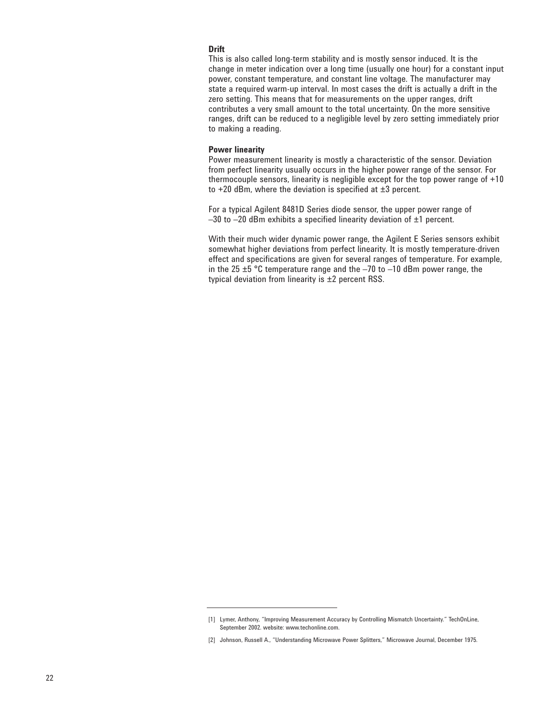#### **Drift**

This is also called long-term stability and is mostly sensor induced. It is the change in meter indication over a long time (usually one hour) for a constant input power, constant temperature, and constant line voltage. The manufacturer may state a required warm-up interval. In most cases the drift is actually a drift in the zero setting. This means that for measurements on the upper ranges, drift contributes a very small amount to the total uncertainty. On the more sensitive ranges, drift can be reduced to a negligible level by zero setting immediately prior to making a reading.

#### **Power linearity**

Power measurement linearity is mostly a characteristic of the sensor. Deviation from perfect linearity usually occurs in the higher power range of the sensor. For thermocouple sensors, linearity is negligible except for the top power range of +10 to  $+20$  dBm, where the deviation is specified at  $\pm 3$  percent.

For a typical Agilent 8481D Series diode sensor, the upper power range of  $-30$  to  $-20$  dBm exhibits a specified linearity deviation of  $\pm 1$  percent.

With their much wider dynamic power range, the Agilent E Series sensors exhibit somewhat higher deviations from perfect linearity. It is mostly temperature-driven effect and specifications are given for several ranges of temperature. For example, in the 25  $\pm$ 5 °C temperature range and the  $-70$  to  $-10$  dBm power range, the typical deviation from linearity is ±2 percent RSS.

<sup>[1]</sup> Lymer, Anthony, "Improving Measurement Accuracy by Controlling Mismatch Uncertainty." TechOnLine, September 2002. website: www.techonline.com.

<sup>[2]</sup> Johnson, Russell A., "Understanding Microwave Power Splitters," Microwave Journal, December 1975.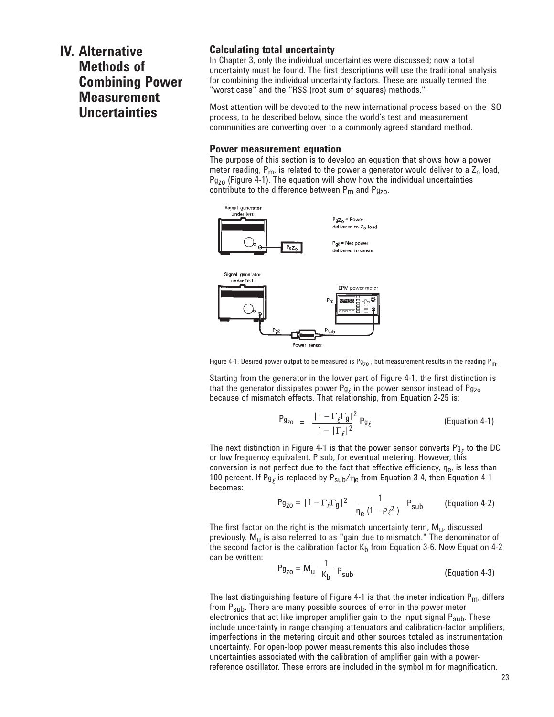## **IV. Alternative Methods of Combining Power Measurement Uncertainties**

## **Calculating total uncertainty**

In Chapter 3, only the individual uncertainties were discussed; now a total uncertainty must be found. The first descriptions will use the traditional analysis for combining the individual uncertainty factors. These are usually termed the "worst case" and the "RSS (root sum of squares) methods."

Most attention will be devoted to the new international process based on the ISO process, to be described below, since the world's test and measurement communities are converting over to a commonly agreed standard method.

#### **Power measurement equation**

The purpose of this section is to develop an equation that shows how a power meter reading,  $P_m$ , is related to the power a generator would deliver to a  $Z_0$  load,  $Pg_{Z0}$  (Figure 4-1). The equation will show how the individual uncertainties contribute to the difference between  $P_m$  and  $Pg_{Z0}$ .



Figure 4-1. Desired power output to be measured is  $P_{q_{z0}}$ , but measurement results in the reading  $P_{m}$ .

Starting from the generator in the lower part of Figure 4-1, the first distinction is that the generator dissipates power  $Pg_{\ell}$  in the power sensor instead of  $Pg_{ZO}$ because of mismatch effects. That relationship, from Equation 2-25 is:

$$
P_{g_{ZO}} = \frac{|1 - \Gamma_{\ell} \Gamma_{g}|^2}{1 - |\Gamma_{\ell}|^2} P_{g_{\ell}} \qquad \text{(Equation 4-1)}
$$

The next distinction in Figure 4-1 is that the power sensor converts Pg<sub>l</sub> to the DC or low frequency equivalent, P sub, for eventual metering. However, this conversion is not perfect due to the fact that effective efficiency,  $\eta_e$ , is less than 100 percent. If Pg<sub>l</sub> is replaced by P<sub>sub</sub>/ $\eta_e$  from Equation 3-4, then Equation 4-1 becomes:

$$
P_{g_{ZO}} = |1 - \Gamma_{\ell} \Gamma_{g}|^2
$$
  $\frac{1}{\eta_{e} (1 - \rho_{\ell}^2)}$   $P_{sub}$  (Equation 4-2)

The first factor on the right is the mismatch uncertainty term,  $M_{\text{u}}$ , discussed previously.  $M_{\text{u}}$  is also referred to as "gain due to mismatch." The denominator of the second factor is the calibration factor  $K_b$  from Equation 3-6. Now Equation 4-2 can be written:

$$
Pg_{Z0} = M_u \frac{1}{K_b} P_{sub}
$$
 (Equation 4-3)

The last distinguishing feature of Figure 4-1 is that the meter indication  $P_m$ , differs from P<sub>sub</sub>. There are many possible sources of error in the power meter electronics that act like improper amplifier gain to the input signal P<sub>sub</sub>. These include uncertainty in range changing attenuators and calibration-factor amplifiers, imperfections in the metering circuit and other sources totaled as instrumentation uncertainty. For open-loop power measurements this also includes those uncertainties associated with the calibration of amplifier gain with a powerreference oscillator. These errors are included in the symbol m for magnification.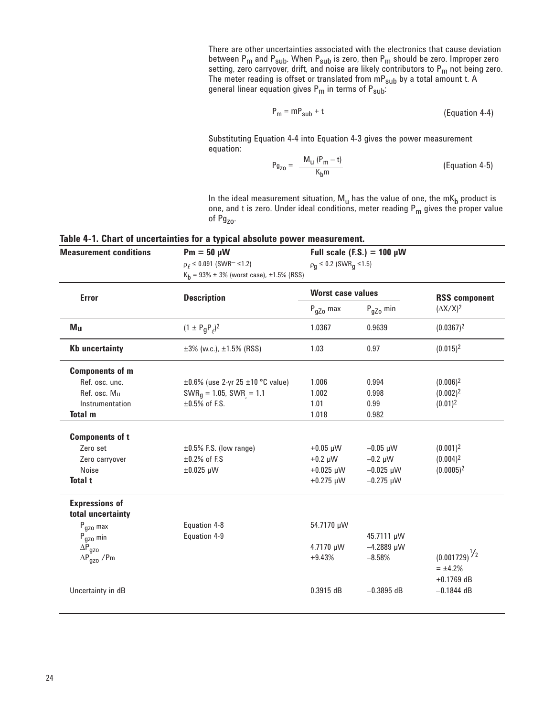There are other uncertainties associated with the electronics that cause deviation between P<sub>m</sub> and P<sub>sub</sub>. When P<sub>sub</sub> is zero, then P<sub>m</sub> should be zero. Improper zero setting, zero carryover, drift, and noise are likely contributors to  ${\sf P_m}$  not being zero. The meter reading is offset or translated from  $\mathsf{m}\mathsf{P}_{\mathsf{sub}}$  by a total amount t. A general linear equation gives  ${\sf P_m}$  in terms of  ${\sf P_{sub}}$ :

$$
P_m = mP_{sub} + t
$$
 (Equation 4-4)

Substituting Equation 4-4 into Equation 4-3 gives the power measurement equation:

$$
P_{g_{Z0}} = \frac{M_u (P_m - t)}{K_b m}
$$
 (Equation 4-5)

In the ideal measurement situation,  $M_u$  has the value of one, the m $K_b$  product is one, and t is zero. Under ideal conditions, meter reading  $P_m$  gives the proper value of Pg<sub>zo</sub>.

|  |  | Table 4-1. Chart of uncertainties for a typical absolute power measurement. |
|--|--|-----------------------------------------------------------------------------|
|--|--|-----------------------------------------------------------------------------|

| <b>Measurement conditions</b>              | $Pm = 50 \mu W$<br>$\rho$ $\leq$ 0.091 (SWR <sup>-</sup> $\leq$ 1.2)<br>$K_h$ = 93% ± 3% (worst case), ±1.5% (RSS) | Full scale (F.S.) = $100 \mu W$<br>$\rho_q \leq 0.2$ (SWR <sub>a</sub> ≤1.5) |                 |                                          |  |
|--------------------------------------------|--------------------------------------------------------------------------------------------------------------------|------------------------------------------------------------------------------|-----------------|------------------------------------------|--|
| <b>Error</b>                               | <b>Description</b>                                                                                                 | <b>Worst case values</b>                                                     |                 | <b>RSS component</b><br>$(\Delta X/X)^2$ |  |
|                                            |                                                                                                                    | $P_{qZ0}$ min<br>$P_{qZ0}$ max                                               |                 |                                          |  |
| M <sub>u</sub>                             | $(1 \pm P_q P_\rho)^2$                                                                                             | 1.0367                                                                       | 0.9639          | $(0.0367)^2$                             |  |
| <b>Kb uncertainty</b>                      | $\pm 3\%$ (w.c.), $\pm 1.5\%$ (RSS)                                                                                | 1.03                                                                         | 0.97            | $(0.015)^2$                              |  |
| <b>Components of m</b>                     |                                                                                                                    |                                                                              |                 |                                          |  |
| Ref. osc. unc.                             | $\pm 0.6\%$ (use 2-yr 25 $\pm 10$ °C value)                                                                        | 1.006                                                                        | 0.994           | $(0.006)^2$                              |  |
| Ref. osc. Mu                               | $SWRq = 1.05$ , SWR = 1.1                                                                                          | 1.002                                                                        | 0.998           | $(0.002)^2$                              |  |
| Instrumentation                            | $\pm 0.5\%$ of F.S.                                                                                                | 1.01                                                                         | 0.99            | $(0.01)^2$                               |  |
| <b>Total m</b>                             |                                                                                                                    | 1.018                                                                        | 0.982           |                                          |  |
| <b>Components of t</b>                     |                                                                                                                    |                                                                              |                 |                                          |  |
| Zero set                                   | $\pm 0.5\%$ F.S. (low range)                                                                                       | $+0.05 \mu W$                                                                | $-0.05 \mu W$   | $(0.001)^2$                              |  |
| Zero carryover                             | $\pm 0.2\%$ of F.S                                                                                                 | $+0.2 \mu W$                                                                 | $-0.2 \mu W$    | $(0.004)^2$                              |  |
| Noise                                      | $\pm 0.025$ µW                                                                                                     | $+0.025 \mu W$                                                               | $-0.025 \mu W$  | $(0.0005)^2$                             |  |
| <b>Total t</b>                             |                                                                                                                    | $+0.275 \mu W$                                                               | $-0.275 \mu W$  |                                          |  |
| <b>Expressions of</b><br>total uncertainty |                                                                                                                    |                                                                              |                 |                                          |  |
| $P_{\text{gzo}}$ max                       | Equation 4-8                                                                                                       | 54.7170 µW                                                                   |                 |                                          |  |
| $P_{\text{gzo}}$ min                       | Equation 4-9                                                                                                       |                                                                              | 45.7111 µW      |                                          |  |
| $\Delta \bar{P}_{gzo}$                     |                                                                                                                    | 4.7170 µW                                                                    | $-4.2889 \mu W$ |                                          |  |
| $\Delta P_{\text{gzo}}$ /Pm                |                                                                                                                    | $+9.43%$                                                                     | $-8.58%$        | $(0.001729)^{\frac{1}{2}}$               |  |
|                                            |                                                                                                                    |                                                                              |                 | $= \pm 4.2\%$                            |  |
|                                            |                                                                                                                    |                                                                              |                 | $+0.1769$ dB                             |  |
| Uncertainty in dB                          |                                                                                                                    | 0.3915 dB                                                                    | $-0.3895$ dB    | $-0.1844$ dB                             |  |
|                                            |                                                                                                                    |                                                                              |                 |                                          |  |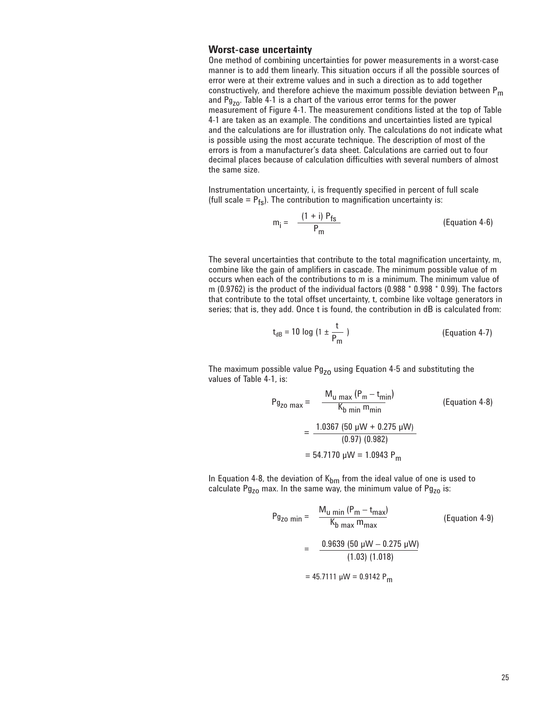## **Worst-case uncertainty**

One method of combining uncertainties for power measurements in a worst-case manner is to add them linearly. This situation occurs if all the possible sources of error were at their extreme values and in such a direction as to add together constructively, and therefore achieve the maximum possible deviation between  $P_m$ constructively, and therefore achieve the maximum possible deviation between P<sub>m</sub> and Pg<sub>zo</sub>. Table 4-1 is a chart of the various error terms for the power measurement of Figure 4-1. The measurement conditions listed at the top of Table 4-1 are taken as an example. The conditions and uncertainties listed are typical and the calculations are for illustration only. The calculations do not indicate what is possible using the most accurate technique. The description of most of the errors is from a manufacturer's data sheet. Calculations are carried out to four decimal places because of calculation difficulties with several numbers of almost the same size.

Instrumentation uncertainty, i, is frequently specified in percent of full scale (full scale =  $P_{fs}$ ). The contribution to magnification uncertainty is:

$$
m_i = \frac{(1 + i) P_{fs}}{P_m}
$$
 (Equation 4-6)

The several uncertainties that contribute to the total magnification uncertainty, m, combine like the gain of amplifiers in cascade. The minimum possible value of m occurs when each of the contributions to m is a minimum. The minimum value of m (0.9762) is the product of the individual factors (0.988 \* 0.998 \* 0.99). The factors that contribute to the total offset uncertainty, t, combine like voltage generators in series; that is, they add. Once t is found, the contribution in dB is calculated from:

$$
t_{dB} = 10 \log (1 \pm \frac{t}{P_m})
$$
 (Equation 4-7)

The maximum possible value  $Pg_{z0}$  using Equation 4-5 and substituting the values of Table 4-1, is:

$$
P_{g_{Z0 \text{ max}}} = \frac{M_{u \text{ max}} (P_m - t_{\text{min}})}{K_{b \text{ min}} m_{\text{min}}}
$$
 (Equation 4-8)  
= 
$$
\frac{1.0367 (50 \text{ }\mu\text{W} + 0.275 \text{ }\mu\text{W})}{(0.97) (0.982)}
$$
  
= 54.7170 \text{ }\mu\text{W} = 1.0943 P<sub>m</sub>

In Equation 4-8, the deviation of  $K_{bm}$  from the ideal value of one is used to calculate Pg<sub>zo</sub> max. In the same way, the minimum value of Pg<sub>zo</sub> is:

$$
P_{g_{Z0} \text{ min}} = \frac{M_{u \text{ min}} (P_{m} - t_{\text{max}})}{K_{b \text{ max}} m_{\text{max}}}
$$
 (Equation 4-9)  
= 
$$
\frac{0.9639 (50 \text{ }\mu\text{V} - 0.275 \text{ }\mu\text{W})}{(1.03) (1.018)}
$$
  
= 45.7111  $\mu$ W = 0.9142 P<sub>m</sub>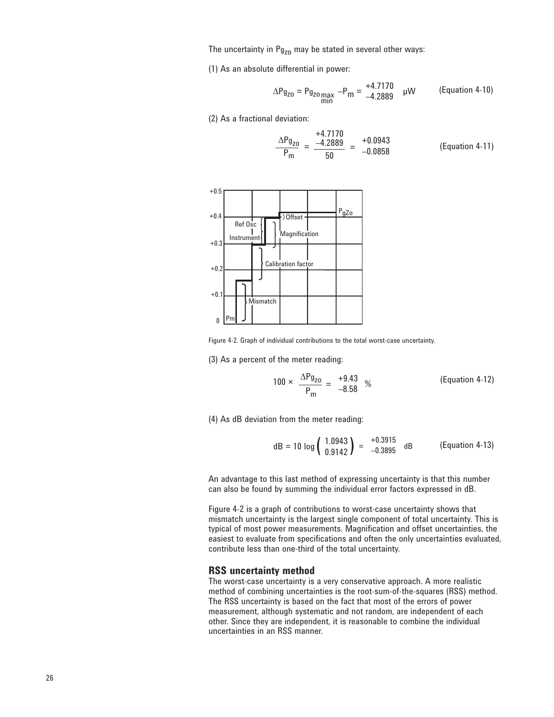The uncertainty in  $Pg_{z0}$  may be stated in several other ways:

(1) As an absolute differential in power:

$$
\Delta P_{g_{Z0}} = P_{g_{Z0}}_{\substack{max\\min}} - P_m = \frac{+4.7170}{-4.2889} \quad \mu W \qquad \text{(Equation 4-10)}
$$

(2) As a fractional deviation:

$$
\frac{\Delta P g_{ZO}}{P_m} = \frac{-4.2889}{50} = \frac{+0.0943}{-0.0858}
$$
 (Equation 4-11)



Figure 4-2. Graph of individual contributions to the total worst-case uncertainty.

(3) As a percent of the meter reading:

$$
100 \times \frac{\Delta P g_{ZO}}{P_m} = \frac{+9.43}{-8.58} \%
$$
 (Equation 4-12)

(4) As dB deviation from the meter reading:

dB = 10 log 
$$
\begin{pmatrix} 1.0943 \\ 0.9142 \end{pmatrix}
$$
 =  $\begin{pmatrix} +0.3915 \\ -0.3895 \end{pmatrix}$  dB (Equation 4-13)

An advantage to this last method of expressing uncertainty is that this number can also be found by summing the individual error factors expressed in dB.

Figure 4-2 is a graph of contributions to worst-case uncertainty shows that mismatch uncertainty is the largest single component of total uncertainty. This is typical of most power measurements. Magnification and offset uncertainties, the easiest to evaluate from specifications and often the only uncertainties evaluated, contribute less than one-third of the total uncertainty.

#### **RSS uncertainty method**

The worst-case uncertainty is a very conservative approach. A more realistic method of combining uncertainties is the root-sum-of-the-squares (RSS) method. The RSS uncertainty is based on the fact that most of the errors of power measurement, although systematic and not random, are independent of each other. Since they are independent, it is reasonable to combine the individual uncertainties in an RSS manner.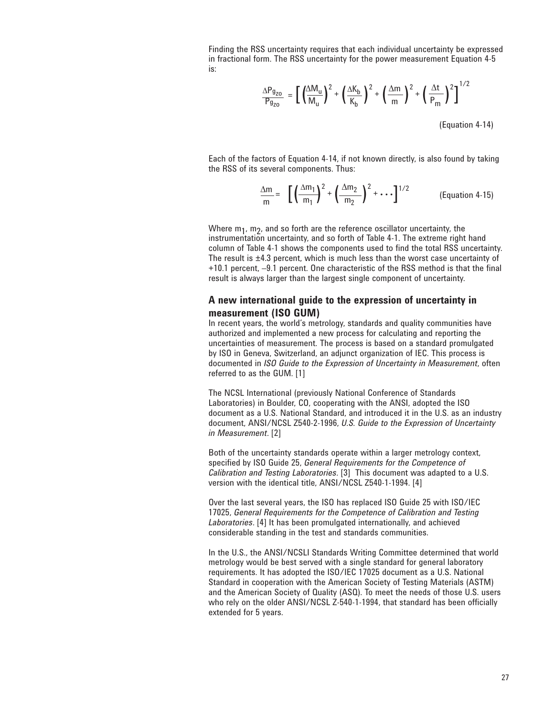Finding the RSS uncertainty requires that each individual uncertainty be expressed in fractional form. The RSS uncertainty for the power measurement Equation 4-5 is:

$$
\frac{\Delta P_{g_{ZO}}}{P_{g_{ZO}}} = \left[ \left( \frac{\Delta M_u}{M_u} \right)^2 + \left( \frac{\Delta K_b}{K_b} \right)^2 + \left( \frac{\Delta m}{m} \right)^2 + \left( \frac{\Delta t}{P_m} \right)^2 \right]^{1/2}
$$
\n(Equation 4-14)

Each of the factors of Equation 4-14, if not known directly, is also found by taking the RSS of its several components. Thus:

$$
\frac{\Delta m}{m} = \left[ \left( \frac{\Delta m_1}{m_1} \right)^2 + \left( \frac{\Delta m_2}{m_2} \right)^2 + \cdots \right]^{1/2}
$$
 (Equation 4-15)

Where  $m_1$ ,  $m_2$ , and so forth are the reference oscillator uncertainty, the instrumentation uncertainty, and so forth of Table 4-1. The extreme right hand column of Table 4-1 shows the components used to find the total RSS uncertainty. The result is ±4.3 percent, which is much less than the worst case uncertainty of +10.1 percent, –9.1 percent. One characteristic of the RSS method is that the final result is always larger than the largest single component of uncertainty.

## **A new international guide to the expression of uncertainty in measurement (ISO GUM)**

In recent years, the world's metrology, standards and quality communities have authorized and implemented a new process for calculating and reporting the uncertainties of measurement. The process is based on a standard promulgated by ISO in Geneva, Switzerland, an adjunct organization of IEC. This process is documented in *ISO Guide to the Expression of Uncertainty in Measurement*, often referred to as the GUM. [1]

The NCSL International (previously National Conference of Standards Laboratories) in Boulder, CO, cooperating with the ANSI, adopted the ISO document as a U.S. National Standard, and introduced it in the U.S. as an industry document, ANSI/NCSL Z540-2-1996, *U.S. Guide to the Expression of Uncertainty in Measurement*. [2]

Both of the uncertainty standards operate within a larger metrology context, specified by ISO Guide 25, *General Requirements for the Competence of Calibration and Testing Laboratories*. [3] This document was adapted to a U.S. version with the identical title, ANSI/NCSL Z540-1-1994. [4]

Over the last several years, the ISO has replaced ISO Guide 25 with ISO/IEC 17025, *General Requirements for the Competence of Calibration and Testing Laboratories*. [4] It has been promulgated internationally, and achieved considerable standing in the test and standards communities.

In the U.S., the ANSI/NCSLI Standards Writing Committee determined that world metrology would be best served with a single standard for general laboratory requirements. It has adopted the ISO/IEC 17025 document as a U.S. National Standard in cooperation with the American Society of Testing Materials (ASTM) and the American Society of Quality (ASQ). To meet the needs of those U.S. users who rely on the older ANSI/NCSL Z-540-1-1994, that standard has been officially extended for 5 years.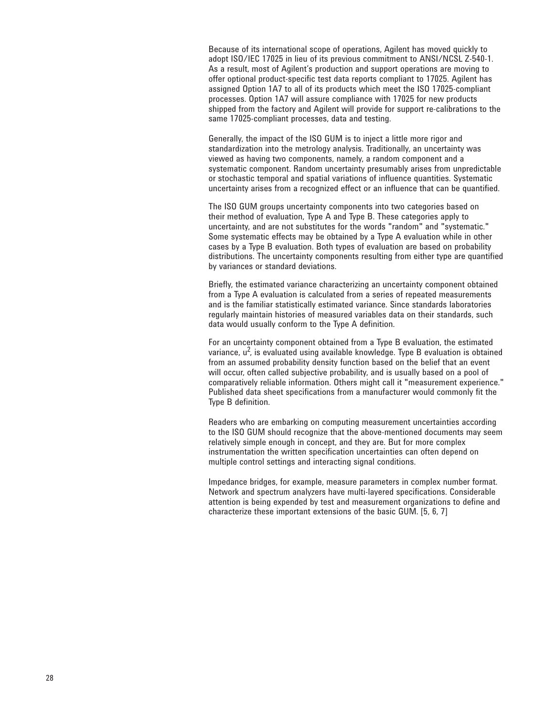Because of its international scope of operations, Agilent has moved quickly to adopt ISO/IEC 17025 in lieu of its previous commitment to ANSI/NCSL Z-540-1. As a result, most of Agilent's production and support operations are moving to offer optional product-specific test data reports compliant to 17025. Agilent has assigned Option 1A7 to all of its products which meet the ISO 17025-compliant processes. Option 1A7 will assure compliance with 17025 for new products shipped from the factory and Agilent will provide for support re-calibrations to the same 17025-compliant processes, data and testing.

Generally, the impact of the ISO GUM is to inject a little more rigor and standardization into the metrology analysis. Traditionally, an uncertainty was viewed as having two components, namely, a random component and a systematic component. Random uncertainty presumably arises from unpredictable or stochastic temporal and spatial variations of influence quantities. Systematic uncertainty arises from a recognized effect or an influence that can be quantified.

The ISO GUM groups uncertainty components into two categories based on their method of evaluation, Type A and Type B. These categories apply to uncertainty, and are not substitutes for the words "random" and "systematic." Some systematic effects may be obtained by a Type A evaluation while in other cases by a Type B evaluation. Both types of evaluation are based on probability distributions. The uncertainty components resulting from either type are quantified by variances or standard deviations.

Briefly, the estimated variance characterizing an uncertainty component obtained from a Type A evaluation is calculated from a series of repeated measurements and is the familiar statistically estimated variance. Since standards laboratories regularly maintain histories of measured variables data on their standards, such data would usually conform to the Type A definition.

For an uncertainty component obtained from a Type B evaluation, the estimated variance,  $u^2$ , is evaluated using available knowledge. Type B evaluation is obtained from an assumed probability density function based on the belief that an event will occur, often called subjective probability, and is usually based on a pool of comparatively reliable information. Others might call it "measurement experience." Published data sheet specifications from a manufacturer would commonly fit the Type B definition.

Readers who are embarking on computing measurement uncertainties according to the ISO GUM should recognize that the above-mentioned documents may seem relatively simple enough in concept, and they are. But for more complex instrumentation the written specification uncertainties can often depend on multiple control settings and interacting signal conditions.

Impedance bridges, for example, measure parameters in complex number format. Network and spectrum analyzers have multi-layered specifications. Considerable attention is being expended by test and measurement organizations to define and characterize these important extensions of the basic GUM. [5, 6, 7]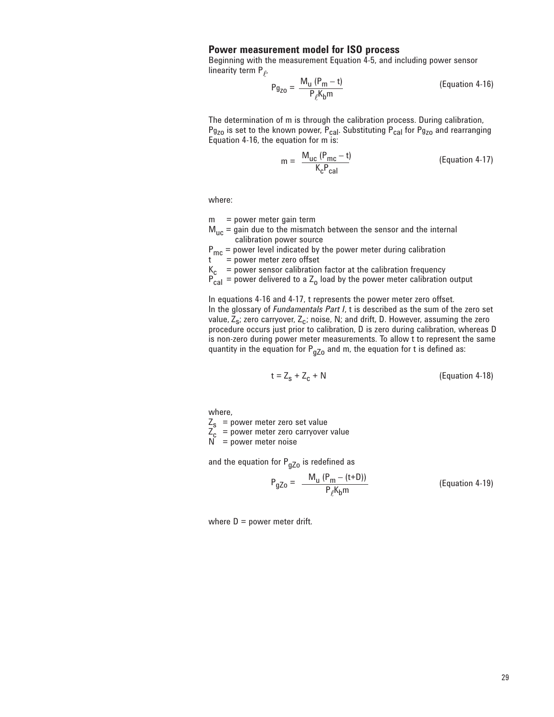## **Power measurement model for ISO process**

Beginning with the measurement Equation 4-5, and including power sensor linearity term  $P_{\ell}$ ,

$$
P_{g_{ZO}} = \frac{M_u (P_m - t)}{P_{\ell} K_b m}
$$
 (Equation 4-16)

The determination of m is through the calibration process. During calibration,  $P_{g_{ZO}}$  is set to the known power,  $P_{cal}$ . Substituting  $P_{cal}$  for  $P_{g_{ZO}}$  and rearranging Equation 4-16, the equation for m is:

$$
m = \frac{M_{uc} (P_{mc} - t)}{K_c P_{cal}} \tag{Equation 4-17}
$$

where:

- m = power meter gain term
- $M_{\text{uc}}$  = gain due to the mismatch between the sensor and the internal calibration power source

 $P_{\text{mc}}$  = power level indicated by the power meter during calibration t = power meter zero offset

 $=$  power meter zero offset

 $K_c$  = power sensor calibration factor at the calibration frequency

 $P_{\text{cal}}$  = power delivered to a Z<sub>o</sub> load by the power meter calibration output

In equations 4-16 and 4-17, t represents the power meter zero offset. In the glossary of *Fundamentals Part I*, t is described as the sum of the zero set value,  $\bar{Z}_s$ ; zero carryover,  $Z_c$ ; noise, N; and drift, D. However, assuming the zero procedure occurs just prior to calibration, D is zero during calibration, whereas D is non-zero during power meter measurements. To allow t to represent the same quantity in the equation for  $P_{qZo}$  and m, the equation for t is defined as:

$$
t = Z_s + Z_c + N \tag{Equation 4-18}
$$

where,

 $Z_{s}$  = power meter zero set value

 $Z_c$  = power meter zero carryover value

N = power meter noise

and the equation for  $P_{qZ0}$  is redefined as

$$
P_{gZo} = \frac{M_u (P_m - (t+D))}{P_{\ell} K_b m}
$$
 (Equation 4-19)

where  $D = power$  meter drift.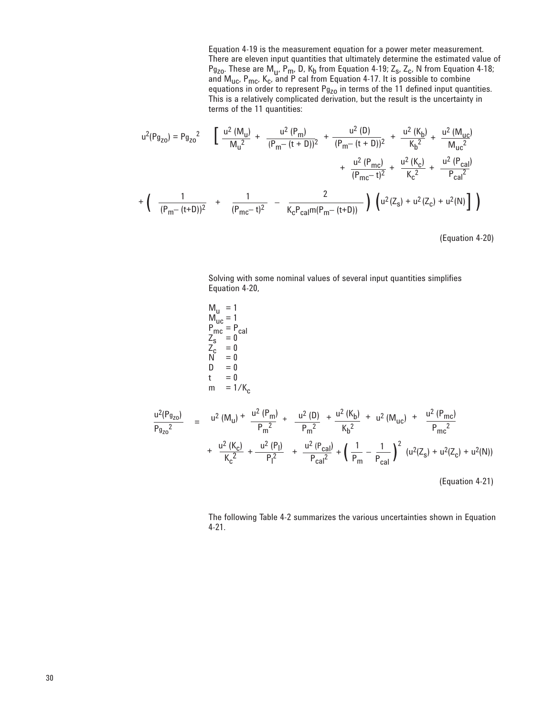Equation 4-19 is the measurement equation for a power meter measurement. There are eleven input quantities that ultimately determine the estimated value of  $P_{g_{ZO}}$ . These are  $M_u$ ,  $P_m$ , D,  $K_b$  from Equation 4-19;  $Z_s$ ,  $Z_c$ , N from Equation 4-18; and  $M_{\text{uc}}$ ,  $P_{\text{mc}}$ ,  $K_{\text{c}}$ , and P cal from Equation 4-17. It is possible to combine equations in order to represent  $Pg_{z0}$  in terms of the 11 defined input quantities. This is a relatively complicated derivation, but the result is the uncertainty in terms of the 11 quantities:

$$
u^{2}(Pg_{Z0}) = Pg_{Z0}^{2} \qquad \left[ \frac{u^{2}(M_{U})}{M_{U}^{2}} + \frac{u^{2}(P_{m})}{(P_{m} - (t + D))^{2}} + \frac{u^{2}(D)}{(P_{m} - (t + D))^{2}} + \frac{u^{2}(K_{b})}{K_{b}^{2}} + \frac{u^{2}(M_{UC})}{M_{UC}^{2}} + \frac{u^{2}(P_{mC})}{(P_{mC} - t)^{2}} + \frac{u^{2}(R_{C})}{K_{c}^{2}} + \frac{u^{2}(R_{C})}{K_{c}^{2}} + \frac{u^{2}(P_{cal})}{P_{cal}^{2}}
$$

$$
+ \left( \frac{1}{(P_{m} - (t + D))^{2}} + \frac{1}{(P_{mC} - t)^{2}} - \frac{2}{K_{c}P_{cal}(P_{me}(P_{m} - (t + D))} \right) \left( u^{2}(Z_{s}) + u^{2}(Z_{c}) + u^{2}(N) \right] \right)
$$

(Equation 4-20)

Solving with some nominal values of several input quantities simplifies Equation 4-20,

$$
M_{u} = 1
$$
  
\n
$$
M_{uc} = 1
$$
  
\n
$$
P_{mc} = P_{cal}
$$
  
\n
$$
Z_{s} = 0
$$
  
\n
$$
Z_{s} = 0
$$
  
\n
$$
Z_{c} = 0
$$
  
\n
$$
N = 0
$$
  
\n
$$
D = 0
$$
  
\n
$$
t = 0
$$
  
\n
$$
m = 1/K_{c}
$$
  
\n
$$
\frac{u^{2}(Pg_{zo})}{Pg_{zo}^{2}} = u^{2}(M_{u}) + \frac{u^{2}(P_{m})}{P_{m}^{2}} + \frac{u^{2}(D)}{P_{m}^{2}} + \frac{u^{2}(K_{b})}{K_{b}^{2}} + u^{2}(M_{uc}) + \frac{u^{2}(P_{mc})}{P_{mc}^{2}}
$$
  
\n
$$
+ \frac{u^{2}(K_{c})}{K_{c}^{2}} + \frac{u^{2}(P_{l})}{P_{l}^{2}} + \frac{u^{2}(P_{cal})}{P_{cal}^{2}} + (\frac{1}{P_{m}} - \frac{1}{P_{cal}})^{2}(u^{2}(Z_{s}) + u^{2}(Z_{c}) + u^{2}(N))
$$
  
\n(Equation 4-21)

The following Table 4-2 summarizes the various uncertainties shown in Equation 4-21.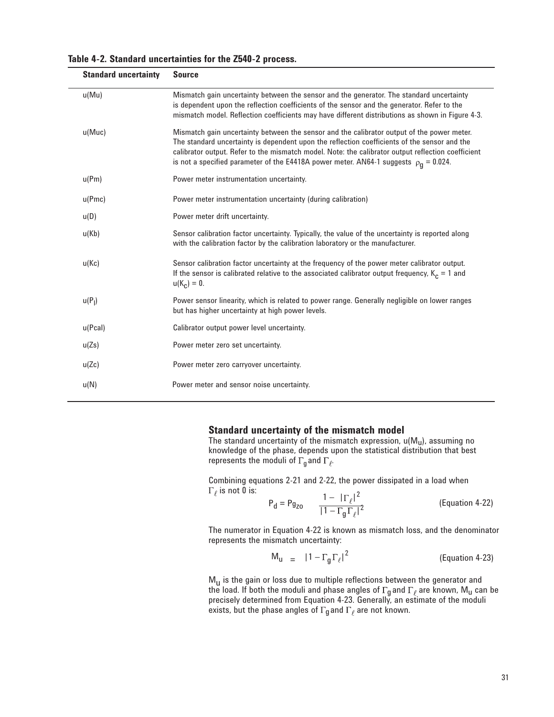| <b>Standard uncertainty</b> | <b>Source</b>                                                                                                                                                                                                                                                                                                                                                                                  |
|-----------------------------|------------------------------------------------------------------------------------------------------------------------------------------------------------------------------------------------------------------------------------------------------------------------------------------------------------------------------------------------------------------------------------------------|
| u(Mu)                       | Mismatch gain uncertainty between the sensor and the generator. The standard uncertainty<br>is dependent upon the reflection coefficients of the sensor and the generator. Refer to the<br>mismatch model. Reflection coefficients may have different distributions as shown in Figure 4-3.                                                                                                    |
| u(Muc)                      | Mismatch gain uncertainty between the sensor and the calibrator output of the power meter.<br>The standard uncertainty is dependent upon the reflection coefficients of the sensor and the<br>calibrator output. Refer to the mismatch model. Note: the calibrator output reflection coefficient<br>is not a specified parameter of the E4418A power meter. AN64-1 suggests $\rho_0 = 0.024$ . |
| u(Pm)                       | Power meter instrumentation uncertainty.                                                                                                                                                                                                                                                                                                                                                       |
| u(Pmc)                      | Power meter instrumentation uncertainty (during calibration)                                                                                                                                                                                                                                                                                                                                   |
| u(D)                        | Power meter drift uncertainty.                                                                                                                                                                                                                                                                                                                                                                 |
| u(Kb)                       | Sensor calibration factor uncertainty. Typically, the value of the uncertainty is reported along<br>with the calibration factor by the calibration laboratory or the manufacturer.                                                                                                                                                                                                             |
| u(Kc)                       | Sensor calibration factor uncertainty at the frequency of the power meter calibrator output.<br>If the sensor is calibrated relative to the associated calibrator output frequency, $K_c = 1$ and                                                                                                                                                                                              |

**Table 4-2. Standard uncertainties for the Z540-2 process.**

#### $u(P_1)$ ) Power sensor linearity, which is related to power range. Generally negligible on lower ranges but has higher uncertainty at high power levels.

u(Pcal) Calibrator output power level uncertainty.

 $u(K_c) = 0.$ 

u(Zs) Power meter zero set uncertainty.

u(Zc) Power meter zero carryover uncertainty.

u(N) Power meter and sensor noise uncertainty.

### **Standard uncertainty of the mismatch model**

The standard uncertainty of the mismatch expression,  $u(M_u)$ , assuming no knowledge of the phase, depends upon the statistical distribution that best represents the moduli of  $\Gamma_{\mathfrak{g}}$  and  $\Gamma_{\ell}$ .

Combining equations 2-21 and 2-22, the power dissipated in a load when  $\Gamma_\ell$  is not 0 is:

$$
P_d = P_{g_{ZO}} \frac{1 - |\Gamma_{\ell}|^2}{|1 - \Gamma_g \Gamma_{\ell}|^2}
$$
 (Equation 4-22)

The numerator in Equation 4-22 is known as mismatch loss, and the denominator represents the mismatch uncertainty:

$$
M_{u} = |1 - \Gamma_{g} \Gamma_{\ell}|^{2}
$$
 (Equation 4-23)

 $M_{\text{u}}$  is the gain or loss due to multiple reflections between the generator and the load. If both the moduli and phase angles of  $\Gamma_{\mathfrak{g}}$  and  $\Gamma_{\ell}$  are known, M<sub>u</sub> can be precisely determined from Equation 4-23. Generally, an estimate of the moduli exists, but the phase angles of  $\Gamma_{q}$  and  $\Gamma_{\ell}$  are not known.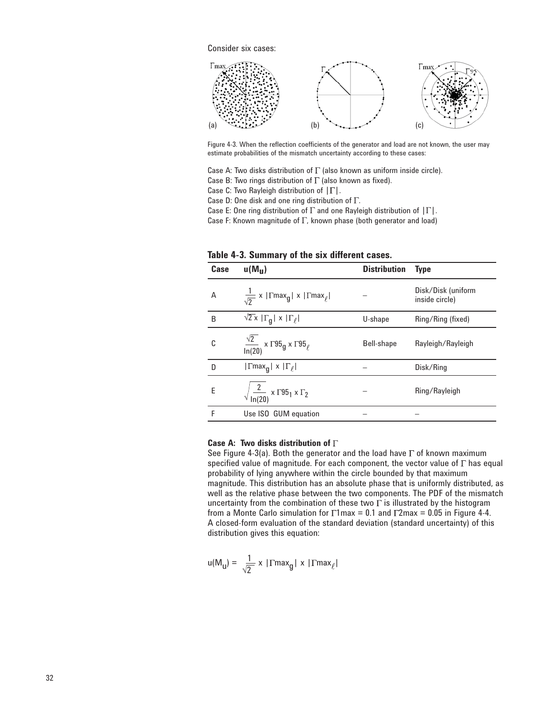

Figure 4-3. When the reflection coefficients of the generator and load are not known, the user may estimate probabilities of the mismatch uncertainty according to these cases:

Case A: Two disks distribution of  $\Gamma$  (also known as uniform inside circle).

Case B: Two rings distribution of  $\Gamma$  (also known as fixed).

Case C: Two Rayleigh distribution of  $|\Gamma|$ .

Case D: One disk and one ring distribution of  $\Gamma$ .

Case E: One ring distribution of  $\Gamma$  and one Rayleigh distribution of  $|\Gamma|$ .

Case F: Known magnitude of  $\Gamma$ , known phase (both generator and load)

| Case | $u(M_{\rm H})$                                                                                     | <b>Distribution</b> | <b>Type</b>                          |
|------|----------------------------------------------------------------------------------------------------|---------------------|--------------------------------------|
| A    | $\frac{1}{\sqrt{2}}$ x   $\Gamma$ max <sub>g</sub>   x   $\Gamma$ max <sub><math>\ell</math></sub> |                     | Disk/Disk (uniform<br>inside circle) |
| B    | $\sqrt{2}$ x   $\Gamma_q$   x   $\Gamma_\ell$                                                      | U-shape             | Ring/Ring (fixed)                    |
| C    | $\frac{\sqrt{2}}{\ln(20)}$ x $\Gamma$ 95 <sub>g</sub> x $\Gamma$ 95 <sub><math>\ell</math></sub>   | Bell-shape          | Rayleigh/Rayleigh                    |
| D    | $ \Gamma$ max <sub>q</sub>   x $ \Gamma_{\ell} $                                                   |                     | Disk/Ring                            |
| E    | $\sqrt{\frac{2}{\ln(20)}}$ x $\Gamma$ 95 <sub>1</sub> x $\Gamma_2$                                 |                     | Ring/Rayleigh                        |
| F    | Use ISO GUM equation                                                                               |                     |                                      |

**Table 4-3. Summary of the six different cases.**

#### **Case A: Two disks distribution of**

See Figure 4-3(a). Both the generator and the load have  $\Gamma$  of known maximum specified value of magnitude. For each component, the vector value of  $\Gamma$  has equal probability of lying anywhere within the circle bounded by that maximum magnitude. This distribution has an absolute phase that is uniformly distributed, as well as the relative phase between the two components. The PDF of the mismatch uncertainty from the combination of these two  $\Gamma$  is illustrated by the histogram from a Monte Carlo simulation for  $\Gamma$ 1max = 0.1 and  $\Gamma$ 2max = 0.05 in Figure 4-4. A closed-form evaluation of the standard deviation (standard uncertainty) of this distribution gives this equation:

$$
u(M_{\mathbf{u}}) = \frac{1}{\sqrt{2}} \times |\Gamma \text{max}_{\mathbf{g}}| \times |\Gamma \text{max}_{\ell}|
$$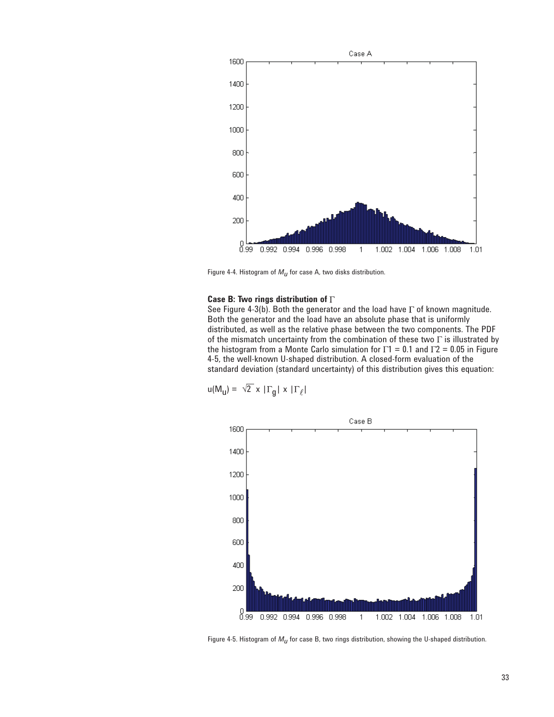

Figure 4-4. Histogram of  $M_U$  for case A, two disks distribution.

## **Case B: Two rings distribution of**

See Figure 4-3(b). Both the generator and the load have  $\Gamma$  of known magnitude. Both the generator and the load have an absolute phase that is uniformly distributed, as well as the relative phase between the two components. The PDF of the mismatch uncertainty from the combination of these two  $\Gamma$  is illustrated by the histogram from a Monte Carlo simulation for  $\Gamma$ 1 = 0.1 and  $\Gamma$ 2 = 0.05 in Figure 4-5, the well-known U-shaped distribution. A closed-form evaluation of the standard deviation (standard uncertainty) of this distribution gives this equation:

$$
u(M_{\mathbf{u}}) = \sqrt{2} \times |\Gamma_{\mathbf{g}}| \times |\Gamma_{\ell}|
$$



Figure 4-5. Histogram of *Mu* for case B, two rings distribution, showing the U-shaped distribution.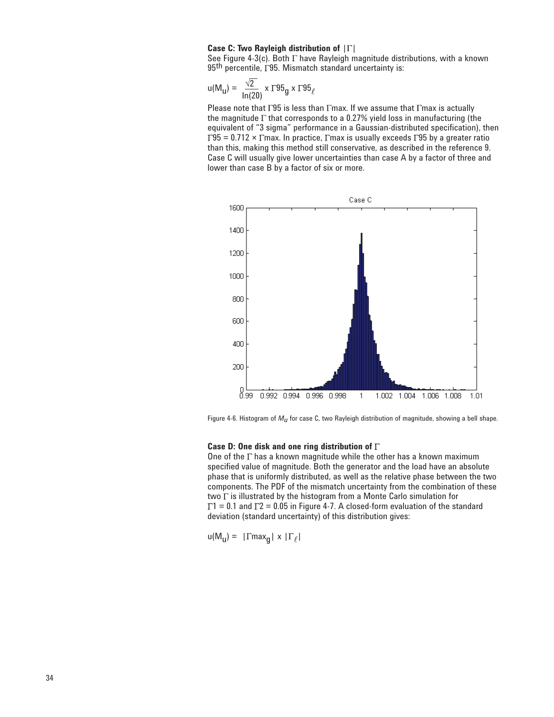#### **Case C: Two Rayleigh distribution of**  $|\Gamma|$

See Figure 4-3(c). Both  $\Gamma$  have Rayleigh magnitude distributions, with a known 95<sup>th</sup> percentile,  $\Gamma$ 95. Mismatch standard uncertainty is:

$$
u(M_{\mathbf{u}}) = \frac{\sqrt{2}}{\ln(20)} \times \Gamma 95_{\mathbf{g}} \times \Gamma 95_{\ell}
$$

Please note that  $\Gamma$ 95 is less than  $\Gamma$ max. If we assume that  $\Gamma$ max is actually the magnitude  $\Gamma$  that corresponds to a 0.27% yield loss in manufacturing (the equivalent of "3 sigma" performance in a Gaussian-distributed specification), then  $\Gamma$ 95 = 0.712 ×  $\Gamma$ max. In practice,  $\Gamma$ max is usually exceeds  $\Gamma$ 95 by a greater ratio than this, making this method still conservative, as described in the reference 9. Case C will usually give lower uncertainties than case A by a factor of three and lower than case B by a factor of six or more.



Figure 4-6. Histogram of *Mu* for case C, two Rayleigh distribution of magnitude, showing a bell shape.

#### **Case D: One disk and one ring distribution of**

One of the  $\Gamma$  has a known magnitude while the other has a known maximum specified value of magnitude. Both the generator and the load have an absolute phase that is uniformly distributed, as well as the relative phase between the two components. The PDF of the mismatch uncertainty from the combination of these two  $\Gamma$  is illustrated by the histogram from a Monte Carlo simulation for  $\Gamma$ 1 = 0.1 and  $\Gamma$ 2 = 0.05 in Figure 4-7. A closed-form evaluation of the standard deviation (standard uncertainty) of this distribution gives:

 $u(M_u) = |\Gamma max_{q}| \times |\Gamma_{\ell}|$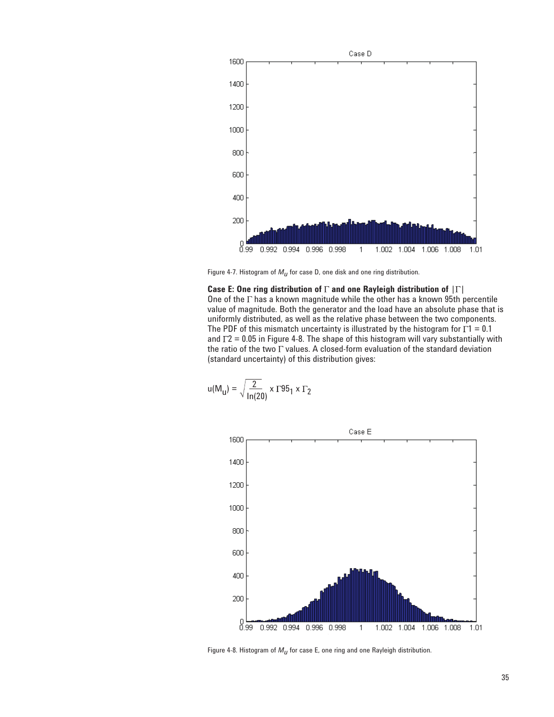

Figure 4-7. Histogram of *Mu* for case D, one disk and one ring distribution.

**Case E: One ring distribution of**  $\Gamma$  **and one Rayleigh distribution of**  $|\Gamma|$ One of the  $\Gamma$  has a known magnitude while the other has a known 95th percentile value of magnitude. Both the generator and the load have an absolute phase that is uniformly distributed, as well as the relative phase between the two components. The PDF of this mismatch uncertainty is illustrated by the histogram for  $\Gamma$ 1 = 0.1 and  $\Gamma$ 2 = 0.05 in Figure 4-8. The shape of this histogram will vary substantially with the ratio of the two  $\Gamma$  values. A closed-form evaluation of the standard deviation (standard uncertainty) of this distribution gives:

$$
u(M_{\mathbf{u}}) = \sqrt{\frac{2}{\ln(20)}} \times \Gamma 95_1 \times \Gamma_2
$$



Figure 4-8. Histogram of *Mu* for case E, one ring and one Rayleigh distribution.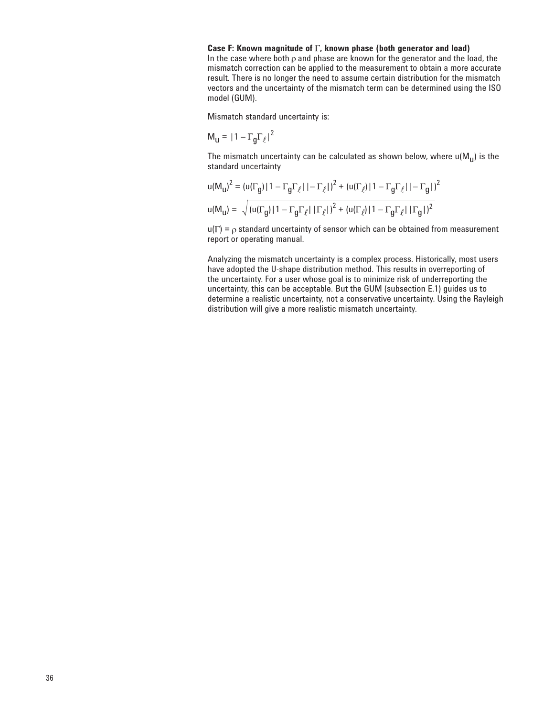#### Case F: Known magnitude of  $\Gamma$ , known phase (both generator and load)

In the case where both  $\rho$  and phase are known for the generator and the load, the mismatch correction can be applied to the measurement to obtain a more accurate result. There is no longer the need to assume certain distribution for the mismatch vectors and the uncertainty of the mismatch term can be determined using the ISO model (GUM).

Mismatch standard uncertainty is:

$$
M_{\mathbf{u}} = |1 - \Gamma_{\mathbf{g}} \Gamma_{\ell}|^2
$$

The mismatch uncertainty can be calculated as shown below, where  $u(M_{11})$  is the standard uncertainty

$$
u(M_{u})^{2} = (u(\Gamma_{g})|1 - \Gamma_{g}\Gamma_{\ell}|1 - \Gamma_{\ell}|)^{2} + (u(\Gamma_{\ell})|1 - \Gamma_{g}\Gamma_{\ell}|1 - \Gamma_{g}|)^{2}
$$
  

$$
u(M_{u}) = \sqrt{(u(\Gamma_{g})|1 - \Gamma_{g}\Gamma_{\ell}|1 - \Gamma_{\ell}|)^{2} + (u(\Gamma_{\ell})|1 - \Gamma_{g}\Gamma_{\ell}|1 - \Gamma_{g}|)^{2}}
$$

 $u(\Gamma) = \rho$  standard uncertainty of sensor which can be obtained from measurement report or operating manual.

Analyzing the mismatch uncertainty is a complex process. Historically, most users have adopted the U-shape distribution method. This results in overreporting of the uncertainty. For a user whose goal is to minimize risk of underreporting the uncertainty, this can be acceptable. But the GUM (subsection E.1) guides us to determine a realistic uncertainty, not a conservative uncertainty. Using the Rayleigh distribution will give a more realistic mismatch uncertainty.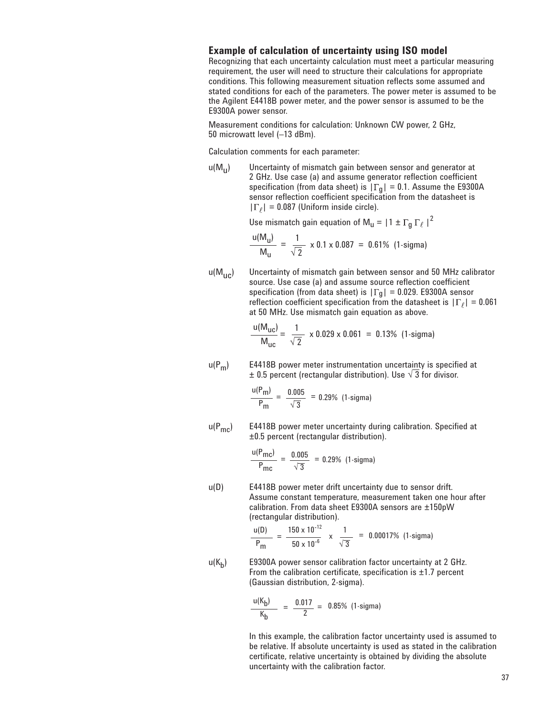## **Example of calculation of uncertainty using ISO model**

Recognizing that each uncertainty calculation must meet a particular measuring requirement, the user will need to structure their calculations for appropriate conditions. This following measurement situation reflects some assumed and stated conditions for each of the parameters. The power meter is assumed to be the Agilent E4418B power meter, and the power sensor is assumed to be the E9300A power sensor.

Measurement conditions for calculation: Unknown CW power, 2 GHz, 50 microwatt level (–13 dBm).

Calculation comments for each parameter:

 $u(M_{11})$  Uncertainty of mismatch gain between sensor and generator at 2 GHz. Use case (a) and assume generator reflection coefficient specification (from data sheet) is  $|\Gamma_g| = 0.1$ . Assume the E9300A sensor reflection coefficient specification from the datasheet is  $|\Gamma_\ell| = 0.087$  (Uniform inside circle).

Use mismatch gain equation of  $M_u = |1 \pm \Gamma_g \Gamma_\ell|^2$ 

$$
\frac{u(M_u)}{M_u} = \frac{1}{\sqrt{2}} \times 0.1 \times 0.087 = 0.61\% \text{ (1-sigma)}
$$

 $u(M_{\text{UC}})$  Uncertainty of mismatch gain between sensor and 50 MHz calibrator source. Use case (a) and assume source reflection coefficient specification (from data sheet) is  $|\Gamma_g| = 0.029$ . E9300A sensor reflection coefficient specification from the datasheet is  $|\Gamma_\ell| = 0.061$ at 50 MHz. Use mismatch gain equation as above.

$$
\frac{u(M_{\text{uc}})}{M_{\text{uc}}} = \frac{1}{\sqrt{2}} \times 0.029 \times 0.061 = 0.13\% \text{ (1-sigma)}
$$

 $u(P_m)$  E4418B power meter instrumentation uncertainty is specified at  $\pm$  0.5 percent (rectangular distribution). Use  $\sqrt{3}$  for divisor.

$$
\frac{u(P_m)}{P_m} = \frac{0.005}{\sqrt{3}} = 0.29\% \text{ (1-sigma)}
$$

 $u(P<sub>mc</sub>)$  E4418B power meter uncertainty during calibration. Specified at ±0.5 percent (rectangular distribution).

$$
\frac{u(P_{\text{mc}})}{P_{\text{mc}}} = \frac{0.005}{\sqrt{3}} = 0.29\% \text{ (1-sigma)}
$$

u(D) E4418B power meter drift uncertainty due to sensor drift. Assume constant temperature, measurement taken one hour after calibration. From data sheet E9300A sensors are ±150pW (rectangular distribution).

$$
\frac{u(D)}{P_m} = \frac{150 \times 10^{-12}}{50 \times 10^{-6}} \times \frac{1}{\sqrt{3}} = 0.00017\% \text{ (1-sigma)}
$$

 $u(K_b)$  E9300A power sensor calibration factor uncertainty at 2 GHz. From the calibration certificate, specification is  $\pm 1.7$  percent (Gaussian distribution, 2-sigma).

$$
\frac{u(K_b)}{K_b} = \frac{0.017}{2} = 0.85\% \text{ (1-sigma)}
$$

 In this example, the calibration factor uncertainty used is assumed to be relative. If absolute uncertainty is used as stated in the calibration certificate, relative uncertainty is obtained by dividing the absolute uncertainty with the calibration factor.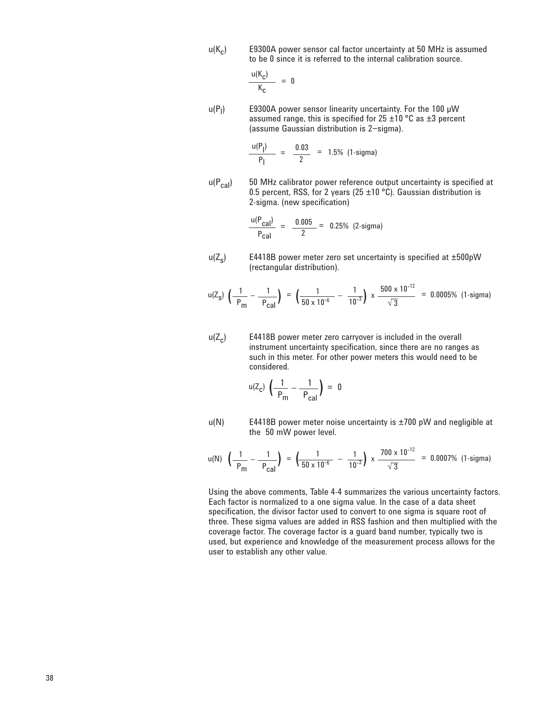$u(K_c)$  E9300A power sensor cal factor uncertainty at 50 MHz is assumed to be 0 since it is referred to the internal calibration source.

$$
\frac{u(K_c)}{K_c} = 0
$$

 $\sim$ 

 $u(P_1)$ E9300A power sensor linearity uncertainty. For the 100 µW assumed range, this is specified for  $25 \pm 10$  °C as  $\pm 3$  percent (assume Gaussian distribution is 2−sigma).

$$
\frac{u(P_1)}{P_1} = \frac{0.03}{2} = 1.5\% \text{ (1-sigma)}
$$

 $u(P_{cal})$  50 MHz calibrator power reference output uncertainty is specified at 0.5 percent, RSS, for 2 years (25  $\pm$ 10 °C). Gaussian distribution is 2-sigma. (new specification)

$$
\frac{u(P_{\text{cal}})}{P_{\text{cal}}}= \frac{0.005}{2} = 0.25\% \text{ (2-sigma)}
$$

 $u(Z<sub>s</sub>)$  E4418B power meter zero set uncertainty is specified at  $\pm 500$ pW (rectangular distribution).

$$
u(Z_S) \left( \frac{1}{P_m} - \frac{1}{P_{\text{cal}}} \right) = \left( \frac{1}{50 \times 10^{-6}} - \frac{1}{10^{-3}} \right) \times \frac{500 \times 10^{-12}}{\sqrt{3}} = 0.0005\% \text{ (1-sigma)}
$$

 $u(Z_c)$  E4418B power meter zero carryover is included in the overall instrument uncertainty specification, since there are no ranges as such in this meter. For other power meters this would need to be considered.

$$
u(Z_{c}) \left( \frac{1}{P_{m}} - \frac{1}{P_{cal}} \right) = 0
$$

 $u(N)$  E4418B power meter noise uncertainty is  $\pm 700$  pW and negligible at the 50 mW power level.

$$
u(N) \left(\frac{1}{P_{\text{m}}} - \frac{1}{P_{\text{cal}}}\right) = \left(\frac{1}{50 \times 10^{-6}} - \frac{1}{10^{-3}}\right) \times \frac{700 \times 10^{-12}}{\sqrt{3}} = 0.0007\% \text{ (1-sigma)}
$$

Using the above comments, Table 4-4 summarizes the various uncertainty factors. Each factor is normalized to a one sigma value. In the case of a data sheet specification, the divisor factor used to convert to one sigma is square root of three. These sigma values are added in RSS fashion and then multiplied with the coverage factor. The coverage factor is a guard band number, typically two is used, but experience and knowledge of the measurement process allows for the user to establish any other value.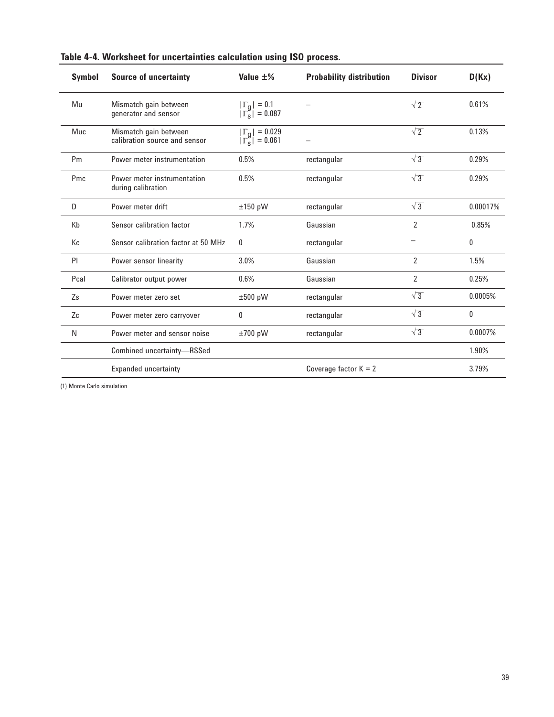| <b>Symbol</b> | <b>Source of uncertainty</b>                           | Value $\pm\%$                                | <b>Probability distribution</b> | <b>Divisor</b>           | D(Kx)    |
|---------------|--------------------------------------------------------|----------------------------------------------|---------------------------------|--------------------------|----------|
| Mu            | Mismatch gain between<br>generator and sensor          | $ \Gamma_g  = 0.1$<br>$ \Gamma_g  = 0.087$   |                                 | $\sqrt{2}$               | 0.61%    |
| Muc           | Mismatch gain between<br>calibration source and sensor | $ \Gamma_g  = 0.029$<br>$ \Gamma_g  = 0.061$ |                                 | $\sqrt{2}$               | 0.13%    |
| Pm            | Power meter instrumentation                            | 0.5%                                         | rectangular                     | $\sqrt{3}$               | 0.29%    |
| Pmc           | Power meter instrumentation<br>during calibration      | 0.5%                                         | rectangular                     | $\sqrt{3}$               | 0.29%    |
| D             | Power meter drift                                      | ±150 pW                                      | rectangular                     | $\sqrt{3}$               | 0.00017% |
| Kb            | Sensor calibration factor                              | 1.7%                                         | Gaussian                        | $\overline{2}$           | 0.85%    |
| Кc            | Sensor calibration factor at 50 MHz                    | 0                                            | rectangular                     | $\overline{\phantom{0}}$ | 0        |
| PI            | Power sensor linearity                                 | 3.0%                                         | Gaussian                        | $\overline{2}$           | 1.5%     |
| Pcal          | Calibrator output power                                | 0.6%                                         | Gaussian                        | $\overline{2}$           | 0.25%    |
| Zs            | Power meter zero set                                   | ±500 pW                                      | rectangular                     | $\sqrt{3}$               | 0.0005%  |
| Zc            | Power meter zero carryover                             | 0                                            | rectangular                     | $\sqrt{3}$               | 0        |
| N             | Power meter and sensor noise                           | ±700 pW                                      | rectangular                     | $\sqrt{3}$               | 0.0007%  |
|               | Combined uncertainty-RSSed                             |                                              |                                 |                          | 1.90%    |
|               | <b>Expanded uncertainty</b>                            |                                              | Coverage factor $K = 2$         |                          | 3.79%    |

|  |  |  | Table 4-4. Worksheet for uncertainties calculation using ISO process. |  |  |  |  |
|--|--|--|-----------------------------------------------------------------------|--|--|--|--|
|--|--|--|-----------------------------------------------------------------------|--|--|--|--|

(1) Monte Carlo simulation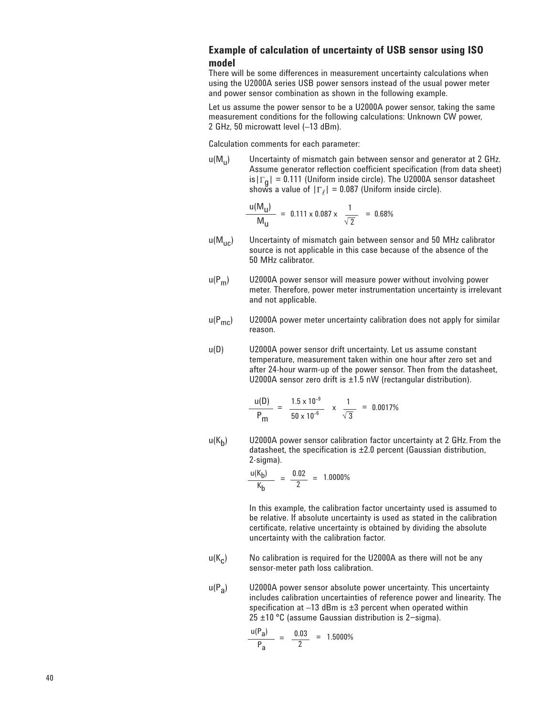## **Example of calculation of uncertainty of USB sensor using ISO model**

There will be some differences in measurement uncertainty calculations when using the U2000A series USB power sensors instead of the usual power meter and power sensor combination as shown in the following example.

Let us assume the power sensor to be a U2000A power sensor, taking the same measurement conditions for the following calculations: Unknown CW power, 2 GHz, 50 microwatt level (–13 dBm).

Calculation comments for each parameter:

 $u(M_{\rm u})$  Uncertainty of mismatch gain between sensor and generator at 2 GHz. Assume generator reflection coefficient specification (from data sheet) is  $|\Gamma_{\alpha}| = 0.111$  (Uniform inside circle). The U2000A sensor datasheet shows a value of  $|\Gamma_\ell| = 0.087$  (Uniform inside circle).

$$
\frac{u(M_{\rm U})}{M_{\rm U}} = 0.111 \times 0.087 \times \frac{1}{\sqrt{2}} = 0.68\%
$$

- $u(M_{\text{uc}})$  Uncertainty of mismatch gain between sensor and 50 MHz calibrator source is not applicable in this case because of the absence of the 50 MHz calibrator.
- $u(P_m)$  U2000A power sensor will measure power without involving power meter. Therefore, power meter instrumentation uncertainty is irrelevant and not applicable.
- $u(P_{\text{mc}})$  U2000A power meter uncertainty calibration does not apply for similar reason.
- u(D) U2000A power sensor drift uncertainty. Let us assume constant temperature, measurement taken within one hour after zero set and after 24-hour warm-up of the power sensor. Then from the datasheet, U2000A sensor zero drift is ±1.5 nW (rectangular distribution).

$$
\frac{u(D)}{P_m} = \frac{1.5 \times 10^{-9}}{50 \times 10^{-6}} \times \frac{1}{\sqrt{3}} = 0.0017\%
$$

 $u(K_h)$  U2000A power sensor calibration factor uncertainty at 2 GHz. From the datasheet, the specification is ±2.0 percent (Gaussian distribution, 2-sigma).

$$
\frac{u(K_b)}{K_b} = \frac{0.02}{2} = 1.0000\%
$$

 In this example, the calibration factor uncertainty used is assumed to be relative. If absolute uncertainty is used as stated in the calibration certificate, relative uncertainty is obtained by dividing the absolute uncertainty with the calibration factor.

- $u(K<sub>c</sub>)$  No calibration is required for the U2000A as there will not be any sensor-meter path loss calibration.
- $u(P_a)$  U2000A power sensor absolute power uncertainty. This uncertainty includes calibration uncertainties of reference power and linearity. The specification at  $-13$  dBm is  $\pm 3$  percent when operated within 25 ±10 °C (assume Gaussian distribution is 2−sigma).

$$
\frac{u(P_a)}{P_a} = \frac{0.03}{2} = 1.5000\%
$$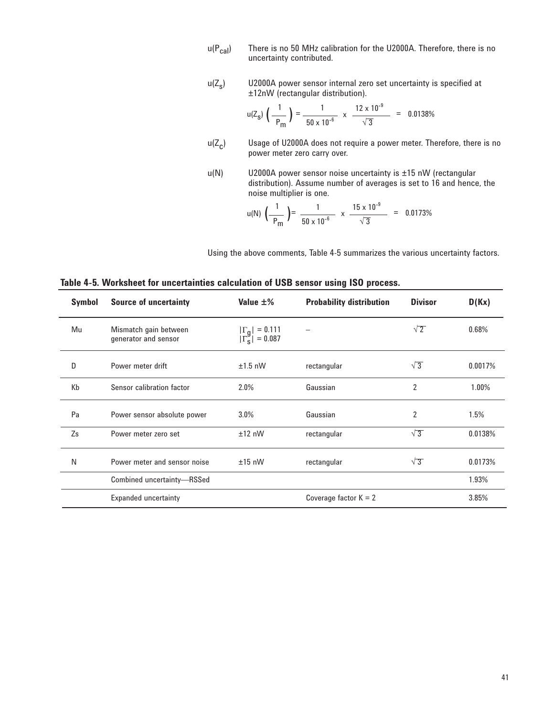- $u(P_{cal})$  There is no 50 MHz calibration for the U2000A. Therefore, there is no uncertainty contributed.
- $u(Z<sub>s</sub>)$  U2000A power sensor internal zero set uncertainty is specified at ±12nW (rectangular distribution).

$$
u(Z_{\rm s})\,\left(\frac{1}{P_{\rm m}}\,\right)=\frac{1}{50\times10^{-6}}\,\times\,\frac{12\times10^{-9}}{\sqrt{3}}\quad=\quad0.0138\%
$$

- $u(Z_c)$  Usage of U2000A does not require a power meter. Therefore, there is no power meter zero carry over.
- $u(N)$  U2000A power sensor noise uncertainty is  $\pm 15$  nW (rectangular distribution). Assume number of averages is set to 16 and hence, the noise multiplier is one.

$$
u(N) \left(\frac{1}{P_m}\right) = \frac{1}{50 \times 10^{-6}} \times \frac{15 \times 10^{-9}}{\sqrt{3}} = 0.0173\%
$$

Using the above comments, Table 4-5 summarizes the various uncertainty factors.

| Symbol | <b>Source of uncertainty</b>                  | Value $\pm\%$                                | <b>Probability distribution</b> | <b>Divisor</b> | D(Kx)   |
|--------|-----------------------------------------------|----------------------------------------------|---------------------------------|----------------|---------|
| Mu     | Mismatch gain between<br>generator and sensor | $ \Gamma_g  = 0.111$<br>$ \Gamma_s  = 0.087$ |                                 | $\sqrt{2}$     | 0.68%   |
| D      | Power meter drift                             | $±1.5$ nW                                    | rectangular                     | $\sqrt{3}$     | 0.0017% |
| Kb     | Sensor calibration factor                     | 2.0%                                         | Gaussian                        | 2              | 1.00%   |
| Pa     | Power sensor absolute power                   | $3.0\%$                                      | Gaussian                        | $\overline{2}$ | 1.5%    |
| Zs     | Power meter zero set                          | $±12$ nW                                     | rectangular                     | $\sqrt{3}$     | 0.0138% |
| N      | Power meter and sensor noise                  | $±15$ nW                                     | rectangular                     | $\sqrt{3}$     | 0.0173% |
|        | Combined uncertainty-RSSed                    |                                              |                                 |                | 1.93%   |
|        | <b>Expanded uncertainty</b>                   |                                              | Coverage factor $K = 2$         |                | 3.85%   |

**Table 4-5. Worksheet for uncertainties calculation of USB sensor using ISO process.**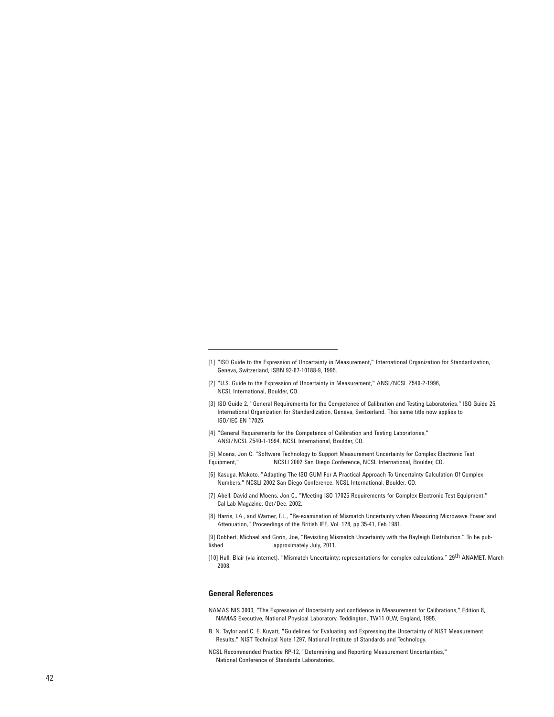- [2] "U.S. Guide to the Expression of Uncertainty in Measurement," ANSI/NCSL Z540-2-1996, NCSL International, Boulder, CO.
- [3] ISO Guide 2, "General Requirements for the Competence of Calibration and Testing Laboratories," ISO Guide 25, International Organization for Standardization, Geneva, Switzerland. This same title now applies to ISO/IEC EN 17025.
- [4] "General Requirements for the Competence of Calibration and Testing Laboratories," ANSI/NCSL Z540-1-1994, NCSL International, Boulder, CO.
- [5] Moens, Jon C. "Software Technology to Support Measurement Uncertainty for Complex Electronic Test Equipment," NCSLI 2002 San Diego Conference, NCSL International, Boulder, CO.
- [6] Kasuga, Makoto, "Adapting The ISO GUM For A Practical Approach To Uncertainty Calculation Of Complex Numbers," NCSLI 2002 San Diego Conference, NCSL International, Boulder, CO.
- [7] Abell, David and Moens, Jon C., "Meeting ISO 17025 Requirements for Complex Electronic Test Equipment," Cal Lab Magazine, Oct/Dec, 2002.
- [8] Harris, I.A., and Warner, F.L., "Re-examination of Mismatch Uncertainty when Measuring Microwave Power and Attenuation," Proceedings of the British IEE, Vol. 128, pp 35-41, Feb 1981.

[9] Dobbert, Michael and Gorin, Joe, "Revisiting Mismatch Uncertainty with the Rayleigh Distribution." To be published approximately July, 2011.

[10] Hall, Blair (via internet), "Mismatch Uncertainty: representations for complex calculations." 29<sup>th</sup> ANAMET, March 2008.

#### **General References**

- NAMAS NIS 3003, "The Expression of Uncertainty and confidence in Measurement for Calibrations," Edition 8, NAMAS Executive, National Physical Laboratory, Teddington, TW11 0LW, England, 1995.
- B. N. Taylor and C. E. Kuyatt, "Guidelines for Evaluating and Expressing the Uncertainty of NIST Measurement Results," NIST Technical Note 1297, National Institute of Standards and Technology.

NCSL Recommended Practice RP-12, "Determining and Reporting Measurement Uncertainties," National Conference of Standards Laboratories.

<sup>[1] &</sup>quot;ISO Guide to the Expression of Uncertainty in Measurement," International Organization for Standardization, Geneva, Switzerland, ISBN 92-67-10188-9, 1995.